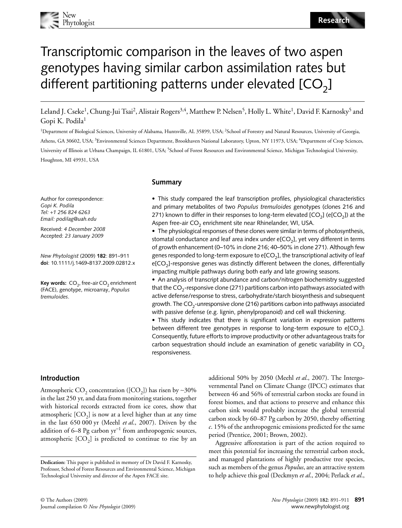

# Transcriptomic comparison in the leaves of two aspen genotypes having similar carbon assimilation rates but different partitioning patterns under elevated  $[CO<sub>2</sub>]$

Leland J. Cseke<sup>1</sup>, Chung-Jui Tsai<sup>2</sup>, Alistair Rogers<sup>3,4</sup>, Matthew P. Nelsen<sup>5</sup>, Holly L. White<sup>1</sup>, David F. Karnosky<sup>5</sup> and Gopi K. Podila<sup>1</sup>

<sup>1</sup>Department of Biological Sciences, University of Alabama, Huntsville, AL 35899, USA; <sup>2</sup>School of Forestry and Natural Resources, University of Georgia, Athens, GA 30602, USA; <sup>3</sup>Environmental Sciences Department, Brookhaven National Laboratory, Upton, NY 11973, USA; <sup>4</sup>Department of Crop Sciences, University of Illinois at Urbana Champaign, IL 61801, USA; 5School of Forest Resources and Environmental Science, Michigan Technological University, Houghton, MI 49931, USA

Author for correspondence: *Gopi K. Podila Tel:* +*1 256 824 6263 Email: podilag@uah.edu*

Received: *4 December 2008* Accepted: *23 January 2009*

*New Phytologist* (2009) **182**: 891–911 **doi**: 10.1111/j.1469**-**8137.2009.02812.x

**Key words:** CO<sub>2</sub>, free-air CO<sub>2</sub> enrichment (FACE), genotype, microarray, *Populus tremuloides*.

### **Summary**

• This study compared the leaf transcription profiles, physiological characteristics and primary metabolites of two *Populus tremuloides* genotypes (clones 216 and 271) known to differ in their responses to long-term elevated  $[CO<sub>2</sub>]$  (e $[CO<sub>2</sub>]$ ) at the Aspen free-air  $CO<sub>2</sub>$  enrichment site near Rhinelander, WI, USA.

• The physiological responses of these clones were similar in terms of photosynthesis, stomatal conductance and leaf area index under  $e[CO<sub>2</sub>]$ , yet very different in terms of growth enhancement (0–10% in clone 216; 40–50% in clone 271). Although few genes responded to long-term exposure to  $e[CO<sub>2</sub>]$ , the transcriptional activity of leaf  $e[CO<sub>2</sub>]$ -responsive genes was distinctly different between the clones, differentially impacting multiple pathways during both early and late growing seasons.

• An analysis of transcript abundance and carbon/nitrogen biochemistry suggested that the  $CO<sub>2</sub>$ -responsive clone (271) partitions carbon into pathways associated with active defense/response to stress, carbohydrate/starch biosynthesis and subsequent growth. The  $CO<sub>2</sub>$ -unresponsive clone (216) partitions carbon into pathways associated with passive defense (e.g. lignin, phenylpropanoid) and cell wall thickening.

• This study indicates that there is significant variation in expression patterns between different tree genotypes in response to long-term exposure to  $e[CO<sub>2</sub>]$ . Consequently, future efforts to improve productivity or other advantageous traits for carbon sequestration should include an examination of genetic variability in  $CO<sub>2</sub>$ responsiveness.

### **Introduction**

Atmospheric CO<sub>2</sub> concentration ([CO<sub>2</sub>]) has risen by ~30% in the last 250 yr, and data from monitoring stations, together with historical records extracted from ice cores, show that atmospheric  $[CO_2]$  is now at a level higher than at any time in the last 650 000 yr (Meehl *et al*., 2007). Driven by the addition of 6–8 Pg carbon yr<sup>-1</sup> from anthropogenic sources, atmospheric  $[CO<sub>2</sub>]$  is predicted to continue to rise by an

additional 50% by 2050 (Meehl *et al*., 2007). The Intergovernmental Panel on Climate Change (IPCC) estimates that between 46 and 56% of terrestrial carbon stocks are found in forest biomes, and that actions to preserve and enhance this carbon sink would probably increase the global terrestrial carbon stock by 60–87 Pg carbon by 2050, thereby offsetting *c*. 15% of the anthropogenic emissions predicted for the same period (Prentice, 2001; Brown, 2002).

Aggressive afforestation is part of the action required to meet this potential for increasing the terrestrial carbon stock, and managed plantations of highly productive tree species, such as members of the genus *Populus*, are an attractive system to help achieve this goal (Deckmyn *et al*., 2004; Perlack *et al*.,

**Dedication:** This paper is published in memory of Dr David F. Karnosky, Professor, School of Forest Resources and Environmental Science, Michigan Technological University and director of the Aspen FACE site.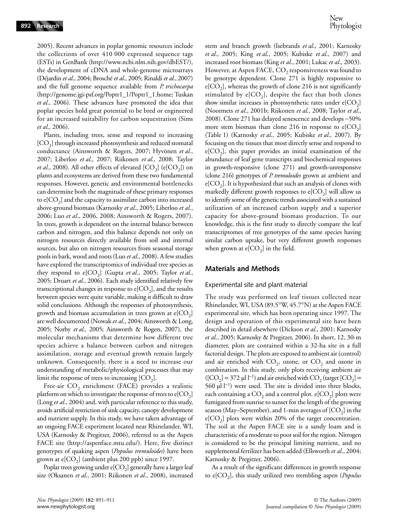2005). Recent advances in poplar genomic resources include the collections of over 410 000 expressed sequence tags (ESTs) in GenBank [\(http://www.ncbi.nlm.nih.gov/dbEST/\),](http://www.ncbi.nlm.nih.gov/dbEST/) the development of cDNA and whole-genome microarrays (Déjardin *et al*., 2004; Brosché *et al*., 2005; Rinaldi *et al*., 2007) and the full genome sequence available from *P. trichocarpa* [\(http://genome.jgi-psf.org/Poptr1\\_1/Poptr1\\_1.home;](http://genome.jgi-psf.org/Poptr1_1/Poptr1_1.home) Tuskan *et al*., 2006). These advances have promoted the idea that poplar species hold great potential to be bred or engineered for an increased suitability for carbon sequestration (Sims *et al*., 2006).

Plants, including trees, sense and respond to increasing  $[CO<sub>2</sub>]$  through increased photosynthesis and reduced stomatal conductance (Ainsworth & Rogers, 2007; Hyvönen *et al*., 2007; Liberloo *et al*., 2007; Riikonen *et al*., 2008; Taylor *et al.*, 2008). All other effects of elevated  $[CO_2]$  (e $[CO_2]$ ) on plants and ecosystems are derived from these two fundamental responses. However, genetic and environmental bottlenecks can determine both the magnitude of these primary responses to  $e[CO<sub>2</sub>]$  and the capacity to assimilate carbon into increased above-ground biomass (Karnosky *et al*., 2005; Liberloo *et al*., 2006; Luo *et al*., 2006, 2008; Ainsworth & Rogers, 2007). In trees, growth is dependent on the internal balance between carbon and nitrogen, and this balance depends not only on nitrogen resources directly available from soil and internal sources, but also on nitrogen resources from seasonal storage pools in bark, wood and roots (Luo *et al*., 2008). A few studies have explored the transcriptomics of individual tree species as they respond to e[CO<sub>2</sub>] (Gupta *et al.*, 2005; Taylor *et al.*, 2005; Druart *et al*., 2006). Each study identified relatively few transcriptional changes in response to  $e[CO_2]$ , and the results between species were quite variable, making it difficult to draw solid conclusions. Although the responses of photosynthesis, growth and biomass accumulation in trees grown at  $\epsilon$ [ $CO<sub>2</sub>$ ] are well documented (Nowak *et al*., 2004; Ainsworth & Long, 2005; Norby *et al*., 2005; Ainsworth & Rogers, 2007), the molecular mechanisms that determine how different tree species achieve a balance between carbon and nitrogen assimilation, storage and eventual growth remain largely unknown. Consequently, there is a need to increase our understanding of metabolic/physiological processes that may limit the response of trees to increasing  $[CO<sub>2</sub>]$ .

Free-air  $CO<sub>2</sub>$  enrichment (FACE) provides a realistic platform on which to investigate the response of trees to  $e[CO<sub>2</sub>]$ (Long *et al*., 2004) and, with particular reference to this study, avoids artificial restriction of sink capacity, canopy development and nutrient supply. In this study, we have taken advantage of an ongoing FACE experiment located near Rhinelander, WI, USA (Karnosky & Pregitzer, 2006), referred to as the Aspen FACE site [\(http://aspenface.mtu.edu/\).](http://aspenface.mtu.edu/) Here, five distinct genotypes of quaking aspen (*Populus tremuloides*) have been grown at  $e[CO_2]$  (ambient plus 200 ppb) since 1997.

Poplar trees growing under  $e[CO_2]$  generally have a larger leaf size (Oksanen *et al*., 2001; Riikonen *et al*., 2008), increased stem and branch growth (Isebrands *et al*., 2001; Karnosky *et al*., 2005; King *et al*., 2005; Kubiske *et al*., 2007) and increased root biomass (King *et al*., 2001; Lukac *et al*., 2003). However, at Aspen FACE,  $CO_2$  responsiveness was found to be genotype dependent. Clone 271 is highly responsive to  $e[CO<sub>2</sub>]$ , whereas the growth of clone 216 is not significantly stimulated by  $e[CO_2]$ , despite the fact that both clones show similar increases in photosynthetic rates under  $e[CO_2]$ (Noormets *et al*., 2001b; Riikonen *et al*., 2008; Taylor *et al*., 2008). Clone 271 has delayed senescence and develops ∼50% more stem biomass than clone 216 in response to  $e[CO<sub>2</sub>]$ (Table 1) (Karnosky *et al*., 2005; Kubiske *et al*., 2007). By focusing on the tissues that most directly sense and respond to  $e[CO_2]$ , this paper provides an initial examination of the abundance of leaf gene transcripts and biochemical responses in growth-responsive (clone 271) and growth-unresponsive (clone 216) genotypes of *P. tremuloides* grown at ambient and  $e[CO<sub>2</sub>]$ . It is hypothesized that such an analysis of clones with markedly different growth responses to  $e[CO_2]$  will allow us to identify some of the genetic trends associated with a sustained utilization of an increased carbon supply and a superior capacity for above-ground biomass production. To our knowledge, this is the first study to directly compare the leaf transcriptomes of tree genotypes of the same species having similar carbon uptake, but very different growth responses when grown at  $e[CO_2]$  in the field.

### **Materials and Methods**

#### Experimental site and plant material

The study was performed on leaf tissues collected near Rhinelander, WI, USA (89.5°W, 45.7°N) at the Aspen FACE experimental site, which has been operating since 1997. The design and operation of this experimental site have been described in detail elsewhere (Dickson *et al*., 2001; Karnosky *et al*., 2005; Karnosky & Pregitzer, 2006). In short, 12, 30-m diameter, plots are contained within a 32-ha site in a full factorial design. The plots are exposed to ambient air (control) and air enriched with  $CO_2$ , ozone, or  $CO_2$  and ozone in combination. In this study, only plots receiving ambient air  $({\rm [CO}_2] = 372 \text{ }\mu\text{J}^{-1})$  and air enriched with CO<sub>2</sub> (target  ${\rm [CO}_2] =$ 560 µl l<sup>−</sup>1) were used. The site is divided into three blocks, each containing a  $CO<sub>2</sub>$  and a control plot. e[ $CO<sub>2</sub>$ ] plots were fumigated from sunrise to sunset for the length of the growing season (May–September), and 1-min averages of  $[CO<sub>2</sub>]$  in the  $e[CO<sub>2</sub>]$  plots were within 20% of the target concentration. The soil at the Aspen FACE site is a sandy loam and is characteristic of a moderate to poor soil for the region. Nitrogen is considered to be the principal limiting nutrient, and no supplemental fertilizer has been added (Ellsworth *et al*., 2004; Karnosky & Pregitzer, 2006).

As a result of the significant differences in growth response to e[CO<sub>2</sub>], this study utilized two trembling aspen (*Populus*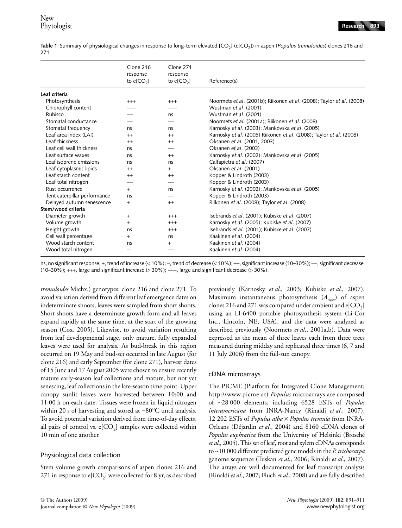Table 1 Summary of physiological changes in response to long-term elevated [CO<sub>2</sub>] (e[CO<sub>2</sub>]) in aspen (*Populus tremuloides*) clones 216 and 271

| Clone 216<br>response<br>to $e[CO2]$ | Clone 271<br>response<br>to $e[CO_2]$ | Reference(s)                                                          |
|--------------------------------------|---------------------------------------|-----------------------------------------------------------------------|
|                                      |                                       |                                                                       |
|                                      |                                       | Noormets et al. (2001b); Riikonen et al. (2008); Taylor et al. (2008) |
|                                      |                                       | Wustman et al. (2001)                                                 |
|                                      | ns                                    | Wustman et al. (2001)                                                 |
|                                      |                                       | Noormets et al. (2001a); Riikonen et al. (2008)                       |
| ns                                   | ns                                    | Karnosky et al. (2003); Mankovska et al. (2005)                       |
| $^{++}$                              | $^{++}$                               | Karnosky et al. (2005) Riikonen et al. (2008); Taylor et al. (2008)   |
| $^{++}$                              | $^{++}$                               | Oksanen et al. (2001, 2003)                                           |
| ns                                   |                                       | Oksanen et al. (2003)                                                 |
| ns                                   | $^{++}$                               | Karnosky et al. (2002); Mankovska et al. (2005)                       |
| ns                                   | ns                                    | Calfapietra et al. (2007)                                             |
| $^{++}$                              | $+$                                   | Oksanen et al. (2001)                                                 |
| $^{++}$                              | $^{++}$                               | Kopper & Lindroth (2003)                                              |
|                                      |                                       | Kopper & Lindroth (2003)                                              |
| $+$                                  | ns                                    | Karnosky et al. (2002); Mankovska et al. (2005)                       |
| ns                                   |                                       | Kopper & Lindroth (2003)                                              |
| $+$                                  | $^{++}$                               | Riikonen et al. (2008); Taylor et al. (2008)                          |
|                                      |                                       |                                                                       |
| $+$                                  | $+++$                                 | Isebrands et al. (2001); Kubiske et al. (2007)                        |
| $^{+}$                               | $+++$                                 | Karnosky et al. (2005); Kubiske et al. (2007)                         |
| ns                                   | $^{+++}$                              | Isebrands et al. (2001); Kubiske et al. (2007)                        |
| $^{+}$                               | ns                                    | Kaakinen et al. (2004)                                                |
| ns                                   | $^{+}$                                | Kaakinen et al. (2004)                                                |
|                                      |                                       | Kaakinen et al. (2004)                                                |
|                                      | $^{+++}$                              | $+++$                                                                 |

ns, no significant response; +, trend of increase (< 10%); -, trend of decrease (< 10%); ++, significant increase (10–30%); --, significant decrease (10–30%); +++, large and significant increase (> 30%); −−−, large and significant decrease (> 30%).

*tremuloides* Michx.) genotypes: clone 216 and clone 271. To avoid variation derived from different leaf emergence dates on indeterminate shoots, leaves were sampled from short shoots. Short shoots have a determinate growth form and all leaves expand rapidly at the same time, at the start of the growing season (Cox, 2005). Likewise, to avoid variation resulting from leaf developmental stage, only mature, fully expanded leaves were used for analysis. As bud-break in this region occurred on 19 May and bud-set occurred in late August (for clone 216) and early September (for clone 271), harvest dates of 15 June and 17 August 2005 were chosen to ensure recently mature early-season leaf collections and mature, but not yet senescing, leaf collections in the late-season time point. Upper canopy sunlit leaves were harvested between 10:00 and 11:00 h on each date. Tissues were frozen in liquid nitrogen within 20 s of harvesting and stored at −80°C until analysis. To avoid potential variation derived from time-of-day effects, all pairs of control vs.  $e[CO_2]$  samples were collected within 10 min of one another.

### Physiological data collection

Stem volume growth comparisons of aspen clones 216 and 271 in response to  $e[CO_2]$  were collected for 8 yr, as described previously (Karnosky *et al*., 2003; Kubiske *et al*., 2007). Maximum instantaneous photosynthesis (A<sub>max</sub>) of aspen clones 216 and 271 was compared under ambient and  $e[CO_2]$ using an LI-6400 portable photosynthesis system (Li-Cor Inc., Lincoln, NE, USA), and the data were analyzed as described previously (Noormets *et al*., 2001a,b). Data were expressed as the mean of three leaves each from three trees measured during midday and replicated three times (6, 7 and 11 July 2006) from the full-sun canopy.

### cDNA microarrays

The PICME (Platform for Integrated Clone Management; [http://www.picme.at\)](http://www.picme.at) *Populus* microarrays are composed of ∼28 000 elements, including 6528 ESTs of *Populus interamericana* from INRA-Nancy (Rinaldi *et al*., 2007), 12 202 ESTs of *Populus alba* × *Populus tremula* from INRA-Orleans (Déjardin *et al*., 2004) and 8160 cDNA clones of *Populus euphratica* from the University of Helsinki (Brosché *et al*., 2005). This set of leaf, root and xylem cDNAs corresponds to ∼10 000 different predicted gene models in the *P. trichocarpa* genome sequence (Tuskan *et al*., 2006; Rinaldi *et al*., 2007). The arrays are well documented for leaf transcript analysis (Rinaldi *et al*., 2007; Fluch *et al*., 2008) and are fully described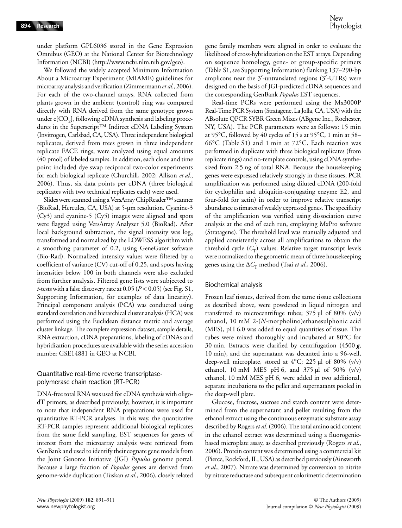under platform GPL6036 stored in the Gene Expression Omnibus (GEO) at the National Center for Biotechnology Information (NCBI) [\(http://www.ncbi.nlm.nih.gov/geo\).](http://www.ncbi.nlm.nih.gov/geo)

We followed the widely accepted Minimum Information About a Microarray Experiment (MIAME) guidelines for microarray analysis and verification (Zimmermann *et al*., 2006). For each of the two-channel arrays, RNA collected from plants grown in the ambient (control) ring was compared directly with RNA derived from the same genotype grown under  $e[CO_2]$ , following cDNA synthesis and labeling procedures in the Superscript™ Indirect cDNA Labeling System (Invitrogen, Carlsbad, CA, USA). Three independent biological replicates, derived from trees grown in three independent replicate FACE rings, were analyzed using equal amounts (40 pmol) of labeled samples. In addition, each clone and time point included dye swap reciprocal two-color experiments for each biological replicate (Churchill, 2002; Allison *et al*., 2006). Thus, six data points per cDNA (three biological replicates with two technical replicates each) were used.

Slides were scanned using a VersArray ChipReader™ scanner (BioRad, Hercules, CA, USA) at 5-µm resolution. Cyanine-3 (Cy3) and cyanine-5 (Cy5) images were aligned and spots were flagged using VersArray Analyzer 5.0 (BioRad). After local background subtraction, the signal intensity was  $log<sub>2</sub>$ transformed and normalized by the LOWESS algorithm with a smoothing parameter of 0.2, using GeneGazer software (Bio-Rad). Normalized intensity values were filtered by a coefficient of variance (CV) cut-off of 0.25, and spots having intensities below 100 in both channels were also excluded from further analysis. Filtered gene lists were subjected to *t*-tests with a false discovery rate at 0.05 (*P* < 0.05) (see Fig. S1, Supporting Information, for examples of data linearity). Principal component analysis (PCA) was conducted using standard correlation and hierarchical cluster analysis (HCA) was performed using the Euclidean distance metric and average cluster linkage. The complete expression dataset, sample details, RNA extraction, cDNA preparations, labeling of cDNAs and hybridization procedures are available with the series accession number GSE14881 in GEO at NCBI.

### Quantitative real-time reverse transcriptasepolymerase chain reaction (RT-PCR)

DNA-free total RNA was used for cDNA synthesis with oligodT primers, as described previously; however, it is important to note that independent RNA preparations were used for quantitative RT-PCR analyses. In this way, the quantitative RT-PCR samples represent additional biological replicates from the same field sampling. EST sequences for genes of interest from the microarray analysis were retrieved from GenBank and used to identify their cognate gene models from the Joint Genome Initiative (JGI) *Populus* genome portal. Because a large fraction of *Populus* genes are derived from genome-wide duplication (Tuskan *et al*., 2006), closely related gene family members were aligned in order to evaluate the likelihood of cross-hybridization on the EST arrays. Depending on sequence homology, gene- or group-specific primers (Table S1, see Supporting Information) flanking 137–290-bp amplicons near the 3′-untranslated regions (3′-UTRs) were designed on the basis of JGI-predicted cDNA sequences and the corresponding GenBank *Populus* EST sequences.

Real-time PCRs were performed using the Mx3000P Real-Time PCR System (Stratagene, La Jolla, CA, USA) with the ABsolute QPCR SYBR Green Mixes (ABgene Inc., Rochester, NY, USA). The PCR parameters were as follows: 15 min at 95°C, followed by 40 cycles of 15 s at 95°C, 1 min at 58– 66°C (Table S1) and 1 min at 72°C. Each reaction was performed in duplicate with three biological replicates (from replicate rings) and no-template controls, using cDNA synthesized from 2.5 ng of total RNA. Because the housekeeping genes were expressed relatively strongly in these tissues, PCR amplification was performed using diluted cDNA (200-fold for cyclophilin and ubiquitin-conjugating enzyme E2, and four-fold for actin) in order to improve relative transcript abundance estimates of weakly expressed genes. The specificity of the amplification was verified using dissociation curve analysis at the end of each run, employing MxPro software (Stratagene). The threshold level was manually adjusted and applied consistently across all amplifications to obtain the threshold cycle  $(C_T)$  values. Relative target transcript levels were normalized to the geometric mean of three housekeeping genes using the  $\Delta C_{\rm T}$  method (Tsai *et al.*, 2006).

#### Biochemical analysis

Frozen leaf tissues, derived from the same tissue collections as described above, were powdered in liquid nitrogen and transferred to microcentrifuge tubes;  $375 \mu$ l of 80% (v/v) ethanol, 10 mM 2-(*N*-morpholino)ethanesulphonic acid (MES), pH 6.0 was added to equal quantities of tissue. The tubes were mixed thoroughly and incubated at 80°C for 30 min. Extracts were clarified by centrifugation (4500 *g*, 10 min), and the supernatant was decanted into a 96-well, deep-well microplate, stored at 4°C; 225 µl of 80% (v/v) ethanol, 10 mM MES pH 6, and  $375 \mu$ l of 50% (v/v) ethanol, 10 mM MES pH 6, were added in two additional, separate incubations to the pellet and supernatants pooled in the deep-well plate.

Glucose, fructose, sucrose and starch content were determined from the supernatant and pellet resulting from the ethanol extract using the continuous enzymatic substrate assay described by Rogers *et al*. (2006). The total amino acid content in the ethanol extract was determined using a fluorogenicbased microplate assay, as described previously (Rogers *et al*., 2006). Protein content was determined using a commercial kit (Pierce, Rockford, IL, USA) as described previously (Ainsworth *et al*., 2007). Nitrate was determined by conversion to nitrite by nitrate reductase and subsequent colorimetric determination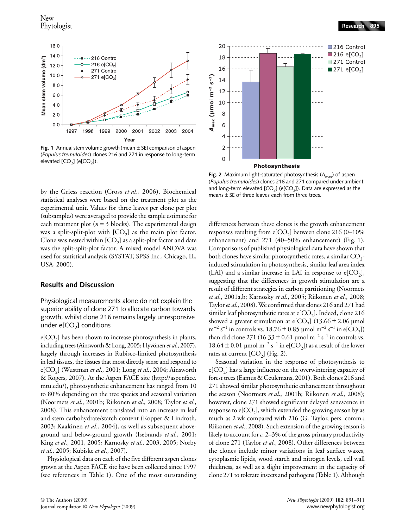

**Fig. 1** Annual stem volume growth (mean ± SE) comparison of aspen (*Populus tremuloides*) clones 216 and 271 in response to long-term elevated  $[CO<sub>2</sub>]$  (e $[CO<sub>2</sub>]$ ).

by the Griess reaction (Cross *et al*., 2006). Biochemical statistical analyses were based on the treatment plot as the experimental unit. Values for three leaves per clone per plot (subsamples) were averaged to provide the sample estimate for each treatment plot (*n* = 3 blocks). The experimental design was a split-split-plot with  $[CO<sub>2</sub>]$  as the main plot factor. Clone was nested within  $[CO_2]$  as a split-plot factor and date was the split-split-plot factor. A mixed model ANOVA was used for statistical analysis (SYSTAT, SPSS Inc., Chicago, IL, USA, 2000).

#### **Results and Discussion**

Physiological measurements alone do not explain the superior ability of clone 271 to allocate carbon towards growth, whilst clone 216 remains largely unresponsive under  $e[CO<sub>2</sub>]$  conditions

 $e[CO_2]$  has been shown to increase photosynthesis in plants, including trees (Ainsworth & Long, 2005; Hyvönen *et al*., 2007), largely through increases in Rubisco-limited photosynthesis in leaf tissues, the tissues that most directly sense and respond to e[CO2] (Wustman *et al*., 2001; Long *et al*., 2004; Ainsworth & Rogers, 2007). At the Aspen FACE site [\(http://aspenface.](http://aspenface.mtu.edu/) mtu.edu/), photosynthetic enhancement has ranged from 10 to 80% depending on the tree species and seasonal variation (Noormets *et al*., 2001b; Riikonen *et al*., 2008; Taylor *et al*., 2008). This enhancement translated into an increase in leaf and stem carbohydrate/starch content (Kopper & Lindroth, 2003; Kaakinen *et al*., 2004), as well as subsequent aboveground and below-ground growth (Isebrands *et al*., 2001; King *et al*., 2001, 2005; Karnosky *et al*., 2003, 2005; Norby *et al*., 2005; Kubiske *et al*., 2007).

Physiological data on each of the five different aspen clones grown at the Aspen FACE site have been collected since 1997 (see references in Table 1). One of the most outstanding



**Fig. 2** Maximum light-saturated photosynthesis (A<sub>max</sub>) of aspen (*Populus tremuloides*) clones 216 and 271 compared under ambient and long-term elevated  $[CO<sub>2</sub>]$  (e $[CO<sub>2</sub>]$ ). Data are expressed as the means  $\pm$  SE of three leaves each from three trees.

differences between these clones is the growth enhancement responses resulting from  $e[CO_2]$  between clone 216 (0-10% enhancement) and 271 (40–50% enhancement) (Fig. 1). Comparisons of published physiological data have shown that both clones have similar photosynthetic rates, a similar  $CO_{2}$ induced stimulation in photosynthesis, similar leaf area index (LAI) and a similar increase in LAI in response to  $e[CO<sub>2</sub>]$ , suggesting that the differences in growth stimulation are a result of different strategies in carbon partitioning (Noormets *et al*., 2001a,b; Karnosky *et al*., 2005; Riikonen *et al*., 2008; Taylor *et al*., 2008). We confirmed that clones 216 and 271 had similar leaf photosynthetic rates at  $e[CO<sub>2</sub>]$ . Indeed, clone 216 showed a greater stimulation at  $e[CO_2]$  (13.66  $\pm$  2.06 µmol  $m^{-2} s^{-1}$  in controls vs. 18.76 ± 0.85 µmol  $m^{-2} s^{-1}$  in e[CO<sub>2</sub>]) than did clone 271 (16.33  $\pm$  0.61 µmol m<sup>-2</sup> s<sup>-1</sup> in controls vs. 18.64 ± 0.01 μmol m<sup>-2</sup> s<sup>-1</sup> in e[CO<sub>2</sub>]) as a result of the lower rates at current  $[CO<sub>2</sub>]$  (Fig. 2).

Seasonal variation in the response of photosynthesis to  $e[CO_2]$  has a large influence on the overwintering capacity of forest trees (Eamus & Ceulemans, 2001). Both clones 216 and 271 showed similar photosynthetic enhancement throughout the season (Noormets *et al*., 2001b; Riikonen *et al*., 2008); however, clone 271 showed significant delayed senescence in response to  $e[CO_2]$ , which extended the growing season by as much as 2 wk compared with 216 (G. Taylor, pers. comm.; Riikonen *et al*., 2008). Such extension of the growing season is likely to account for *c*. 2–3% of the gross primary productivity of clone 271 (Taylor *et al*., 2008). Other differences between the clones include minor variations in leaf surface waxes, cytoplasmic lipids, wood starch and nitrogen levels, cell wall thickness, as well as a slight improvement in the capacity of clone 271 to tolerate insects and pathogens (Table 1). Although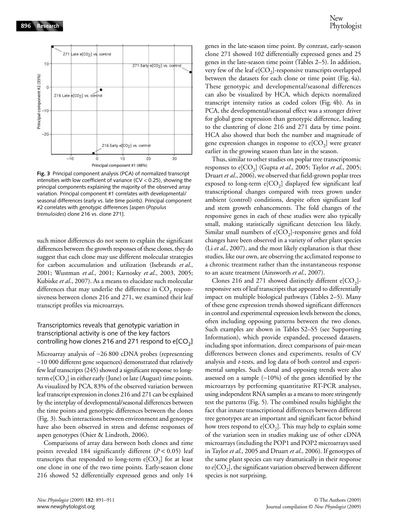

**Fig. 3** Principal component analysis (PCA) of normalized transcript intensities with low coefficient of variance (CV < 0.25), showing the principal components explaining the majority of the observed array variation. Principal component #1 correlates with developmental/ seasonal differences (early vs. late time points). Principal component #2 correlates with genotypic differences [aspen (*Populus tremuloides*) clone 216 vs. clone 271].

such minor differences do not seem to explain the significant differences between the growth responses of these clones, they do suggest that each clone may use different molecular strategies for carbon accumulation and utilization (Isebrands *et al*., 2001; Wustman *et al*., 2001; Karnosky *et al*., 2003, 2005; Kubiske *et al*., 2007). As a means to elucidate such molecular differences that may underlie the difference in  $CO<sub>2</sub>$  responsiveness between clones 216 and 271, we examined their leaf transcript profiles via microarrays.

### Transcriptomics reveals that genotypic variation in transcriptional activity is one of the key factors controlling how clones 216 and 271 respond to  $e[CO_2]$

Microarray analysis of ∼26 800 cDNA probes (representing ∼10 000 different gene sequences) demonstrated that relatively few leaf transcripts (245) showed a significant response to longterm  $e[CO_2]$  in either early (June) or late (August) time points. As visualized by PCA, 83% of the observed variation between leaf transcript expression in clones 216 and 271 can be explained by the interplay of developmental/seasonal differences between the time points and genotypic differences between the clones (Fig. 3). Such interactions between environment and genotype have also been observed in stress and defense responses of aspen genotypes (Osier & Lindroth, 2006).

Comparisons of array data between both clones and time points revealed 184 significantly different (*P* < 0.05) leaf transcripts that responded to long-term  $e[CO_2]$  for at least one clone in one of the two time points. Early-season clone 216 showed 52 differentially expressed genes and only 14

genes in the late-season time point. By contrast, early-season clone 271 showed 102 differentially expressed genes and 25 genes in the late-season time point (Tables 2–5). In addition, very few of the leaf  $e[CO_2]$ -responsive transcripts overlapped between the datasets for each clone or time point (Fig. 4a). These genotypic and developmental/seasonal differences can also be visualized by HCA, which depicts normalized transcript intensity ratios as coded colors (Fig. 4b). As in PCA, the developmental/seasonal effect was a stronger driver for global gene expression than genotypic difference, leading to the clustering of clone 216 and 271 data by time point. HCA also showed that both the number and magnitude of gene expression changes in response to  $e[CO_2]$  were greater earlier in the growing season than late in the season.

Thus, similar to other studies on poplar tree transcriptomic responses to e[CO<sub>2</sub>] (Gupta *et al.*, 2005; Taylor *et al.*, 2005; Druart *et al*., 2006), we observed that field-grown poplar trees exposed to long-term  $e[CO_2]$  displayed few significant leaf transcriptional changes compared with trees grown under ambient (control) conditions, despite often significant leaf and stem growth enhancements. The fold changes of the responsive genes in each of these studies were also typically small, making statistically significant detection less likely. Similar small numbers of  $e[CO_2]$ -responsive genes and fold changes have been observed in a variety of other plant species (Li *et al*., 2007), and the most likely explanation is that these studies, like our own, are observing the acclimated response to a chronic treatment rather than the instantaneous response to an acute treatment (Ainsworth *et al*., 2007).

Clones 216 and 271 showed distinctly different  $e[CO<sub>2</sub>]$ responsive sets of leaf transcripts that appeared to differentially impact on multiple biological pathways (Tables 2–5). Many of these gene expression trends showed significant differences in control and experimental expression levels between the clones, often including opposing patterns between the two clones. Such examples are shown in Tables S2–S5 (see Supporting Information), which provide expanded, processed datasets, including spot information, direct comparisons of pair-mean differences between clones and experiments, results of CV analysis and *t*-tests, and log data of both control and experimental samples. Such clonal and opposing trends were also assessed on a sample (∼10%) of the genes identified by the microarrays by performing quantitative RT-PCR analyses, using independent RNA samples as a means to more stringently test the patterns (Fig. 5). The combined results highlight the fact that innate transcriptional differences between different tree genotypes are an important and significant factor behind how trees respond to  $e[CO_2]$ . This may help to explain some of the variation seen in studies making use of other cDNA microarrays (including the POP1 and POP2 microarrays used in Taylor *et al*., 2005 and Druart *et al*., 2006). If genotypes of the same plant species can vary dramatically in their response to  $e[CO_2]$ , the significant variation observed between different species is not surprising.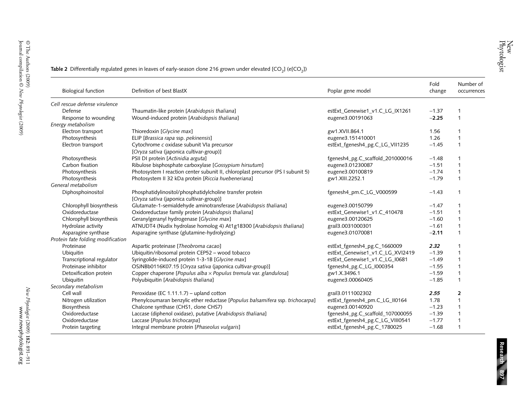**Table 2** Differentially regulated genes in leaves of early-season clone 216 grown under elevated [CO<sub>2</sub>] (e[CO<sub>2</sub>])

| <b>Biological function</b>        | Definition of best BlastX                                                        | Poplar gene model                | Fold<br>change | Number of<br>occurrences |
|-----------------------------------|----------------------------------------------------------------------------------|----------------------------------|----------------|--------------------------|
| Cell rescue defense virulence     |                                                                                  |                                  |                |                          |
| Defense                           | Thaumatin-like protein [Arabidopsis thaliana]                                    | estExt_Genewise1_v1.C_LG_IX1261  | $-1.37$        | $\mathbf{1}$             |
| Response to wounding              | Wound-induced protein [Arabidopsis thaliana]                                     | eugene3.00191063                 | $-2.25$        | $\mathbf{1}$             |
| Energy metabolism                 |                                                                                  |                                  |                |                          |
| Electron transport                | Thioredoxin [Glycine max]                                                        | gw1.XVII.864.1                   | 1.56           | $\mathbf 1$              |
| Photosynthesis                    | ELIP [Brassica rapa ssp. pekinensis]                                             | eugene3.151410001                | 1.26           | $\mathbf{1}$             |
| Electron transport                | Cytochrome c oxidase subunit VIa precursor                                       | estExt_fgenesh4_pg.C_LG_VII1235  | $-1.45$        | $\mathbf{1}$             |
|                                   | [Oryza sativa (japonica cultivar-group)]                                         |                                  |                |                          |
| Photosynthesis                    | PSII DI protein [Actinidia arguta]                                               | fgenesh4_pg.C_scaffold_201000016 | $-1.48$        | $\mathbf{1}$             |
| Carbon fixation                   | Ribulose bisphosphate carboxylase [Gossypium hirsutum]                           | eugene3.01230087                 | $-1.51$        | $\mathbf{1}$             |
| Photosynthesis                    | Photosystem I reaction center subunit II, chloroplast precursor (PS I subunit 5) | eugene3.00100819                 | $-1.74$        | $\mathbf{1}$             |
| Photosynthesis                    | Photosystem II 32 kDa protein [Riccia huebeneriana]                              | gw1.XIII.2252.1                  | $-1.79$        | $\mathbf{1}$             |
| General metabolism                |                                                                                  |                                  |                |                          |
| Diphosphoinositol                 | Phosphatidylinositol/phosphatidylcholine transfer protein                        | fgenesh4_pm.C_LG_V000599         | $-1.43$        | $\mathbf{1}$             |
|                                   | [Oryza sativa (japonica cultivar-group)]                                         |                                  |                |                          |
| Chlorophyll biosynthesis          | Glutamate-1-semialdehyde aminotransferase [Arabidopsis thaliana]                 | eugene3.00150799                 | $-1.47$        | $\mathbf{1}$             |
| Oxidoreductase                    | Oxidoreductase family protein [Arabidopsis thaliana]                             | estExt_Genewise1_v1.C_410478     | $-1.51$        | $\mathbf{1}$             |
| Chlorophyll biosynthesis          | Geranylgeranyl hydrogenase [Glycine max]                                         | eugene3.00120625                 | $-1.60$        | $\mathbf 1$              |
| Hydrolase activity                | ATNUDT4 (Nudix hydrolase homolog 4) At1g18300 [Arabidopsis thaliana]             | grail3.0031000301                | $-1.61$        | $\mathbf{1}$             |
| Asparagine synthase               | Asparagine synthase (glutamine-hydrolyzing)                                      | eugene3.01070081                 | $-2.11$        | $\mathbf{1}$             |
| Protein fate folding modification |                                                                                  |                                  |                |                          |
| Proteinase                        | Aspartic proteinase [Theobroma cacao]                                            | estExt_fgenesh4_pg.C_1660009     | 2.32           | $\mathbf 1$              |
| Ubiquitin                         | Ubiquitin/ribosomal protein CEP52 - wood tobacco                                 | estExt_Genewise1_v1.C_LG_XVI2419 | $-1.39$        | $\mathbf 1$              |
| Transcriptional regulator         | Syringolide-induced protein 1-3-1B [Glycine max]                                 | estExt_Genewise1_v1.C_LG_I0681   | $-1.49$        | $\mathbf{1}$             |
| Proteinase inhibitor              | OSJNBb0116K07.15 [Oryza sativa (japonica cultivar-group)]                        | fgenesh4_pg.C_LG_I000354         | $-1.55$        | $\mathbf{1}$             |
| Detoxification protein            | Copper chaperone [Populus alba $\times$ Populus tremula var. glandulosa]         | gw1.X.3496.1                     | $-1.59$        | $\mathbf{1}$             |
| Ubiquitin                         | Polyubiquitin [Arabidopsis thaliana]                                             | eugene3.00060405                 | $-1.85$        | $\mathbf{1}$             |
| Secondary metabolism              |                                                                                  |                                  |                |                          |
| Cell wall                         | Peroxidase (EC 1.11.1.7) - upland cotton                                         | grail3.0111002302                | 2.55           | $\overline{2}$           |
| Nitrogen utilization              | Phenylcoumaran benzylic ether reductase [Populus balsamifera ssp. trichocarpa]   | estExt_fgenesh4_pm.C_LG_II0164   | 1.78           | $\mathbf{1}$             |
| Biosynthesis                      | Chalcone synthase (CHS1, clone CHS7)                                             | eugene3.00140920                 | $-1.23$        | $\mathbf{1}$             |
| Oxidoreductase                    | Laccase (diphenol oxidase), putative [Arabidopsis thaliana]                      | fgenesh4_pg.C_scaffold_107000055 | $-1.39$        | $\mathbf{1}$             |
| Oxidoreductase                    | Laccase [Populus trichocarpa]                                                    | estExt_fgenesh4_pg.C_LG_VIII0541 | $-1.77$        | $\overline{1}$           |
| Protein targeting                 | Integral membrane protein [Phaseolus vulgaris]                                   | estExt fgenesh4 pg.C 1780025     | $-1.68$        | $\overline{1}$           |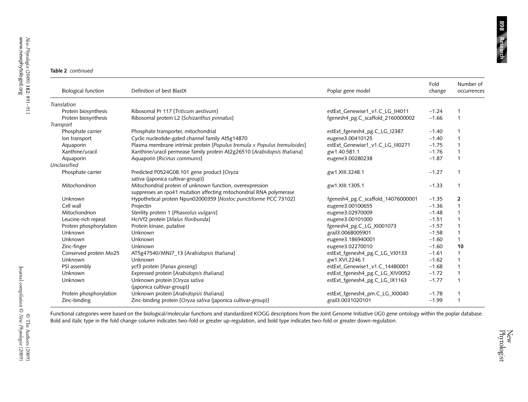#### **Table 2** *continued*

| <b>Biological function</b> | Definition of best BlastX                                                                                                        | Poplar gene model                  | Fold<br>change | Number of<br>occurrences |
|----------------------------|----------------------------------------------------------------------------------------------------------------------------------|------------------------------------|----------------|--------------------------|
| Translation                |                                                                                                                                  |                                    |                |                          |
| Protein biosynthesis       | Ribosomal Pr 117 [Triticum aestivum]                                                                                             | estExt_Genewise1_v1.C_LG_II4011    | $-1.24$        | 1                        |
| Protein biosynthesis       | Ribosomal protein L2 [Schizanthus pinnatus]                                                                                      | fgenesh4_pg.C_scaffold_2160000002  | $-1.66$        | 1                        |
| Transport                  |                                                                                                                                  |                                    |                |                          |
| Phosphate carrier          | Phosphate transporter, mitochondrial                                                                                             | estExt_fgenesh4_pg.C_LG_I2387      | $-1.40$        |                          |
| Ion transport              | Cyclic nucleotide-gated channel family At5g14870                                                                                 | eugene3.00410125                   | $-1.40$        | $\mathbf{1}$             |
| Aquaporin                  | Plasma membrane intrinsic protein [Populus tremula $\times$ Populus tremuloides]                                                 | estExt_Genewise1_v1.C_LG_III0271   | $-1.75$        |                          |
| Xanthine/uracil            | Xanthine/uracil permease family protein At2g26510 [Arabidopsis thaliana]                                                         | gw1.40.581.1                       | $-1.76$        | 1                        |
| Aquaporin                  | Aquaporin [Ricinus communis]                                                                                                     | eugene3.00280238                   | $-1.87$        | 1                        |
| Unclassified               |                                                                                                                                  |                                    |                |                          |
| Phosphate carrier          | Predicted P0524G08.101 gene product [Oryza<br>sativa (japonica cultivar-group)]                                                  | gw1.XIII.3248.1                    | $-1.27$        | 1                        |
| Mitochondrion              | Mitochondrial protein of unknown function, overexpression<br>suppresses an rpo41 mutation affecting mitochondrial RNA polymerase | gw1.XIII.1305.1                    | $-1.33$        | 1                        |
| Unknown                    | Hypothetical protein Npun02000359 [Nostoc punctiforme PCC 73102]                                                                 | fgenesh4_pg.C_scaffold_14076000001 | $-1.35$        | $\overline{\mathbf{2}}$  |
| Cell wall                  | Projectin                                                                                                                        | eugene3.00100655                   | $-1.36$        | $\mathbf{1}$             |
| Mitochondrion              | Sterility protein 1 [Phaseolus vulgaris]                                                                                         | eugene3.02970009                   | $-1.48$        | $\mathbf{1}$             |
| Leucine-rich repeat        | HcrVf2 protein [Malus floribunda]                                                                                                | eugene3.00101000                   | $-1.51$        | $\mathbf{1}$             |
| Protein phosphorylation    | Protein kinase, putative                                                                                                         | fgenesh4_pg.C_LG_XI001073          | $-1.57$        | $\mathbf{1}$             |
| Unknown                    | Unknown                                                                                                                          | grail3.0068005901                  | $-1.58$        | $\mathbf{1}$             |
| Unknown                    | <b>Unknown</b>                                                                                                                   | eugene3.186940001                  | $-1.60$        | 1                        |
| Zinc-finger                | Unknown                                                                                                                          | eugene3.02270010                   | $-1.60$        | 10                       |
| Conserved protein Mo25     | AT5g47540/MNJ7_13 [Arabidopsis thaliana]                                                                                         | estExt_fgenesh4_pg.C_LG_VI0133     | $-1.61$        | $\mathbf{1}$             |
| Unknown                    | Unknown                                                                                                                          | gw1.XVI.2246.1                     | $-1.62$        | 1                        |
| PSI assembly               | ycf3 protein [Panax ginseng]                                                                                                     | estExt_Genewise1_v1.C_14480001     | $-1.68$        | $\mathbf{1}$             |
| Unknown                    | Expressed protein [Arabidopsis thaliana]                                                                                         | estExt_fgenesh4_pg.C_LG_XIV0052    | $-1.72$        | $\mathbf{1}$             |
| Unknown                    | Unknown protein [Oryza sativa<br>(japonica cultivar-group)]                                                                      | estExt_fgenesh4_pg.C_LG_IX1163     | $-1.77$        | 1                        |
| Protein phosphorylation    | Unknown protein [Arabidopsis thaliana]                                                                                           | estExt_fgenesh4_pm.C_LG_XI0040     | $-1.78$        |                          |
| Zinc-binding               | Zinc-binding protein [Oryza sativa (japonica cultivar-group)]                                                                    | grail3.0031020101                  | $-1.99$        |                          |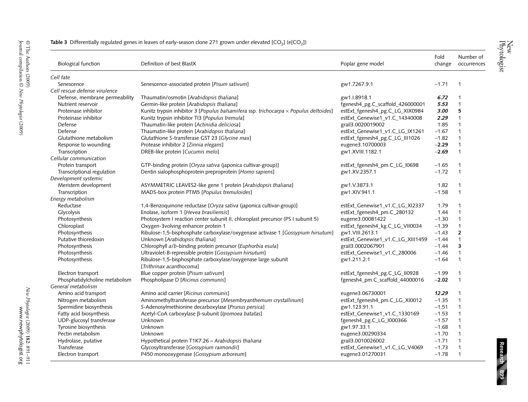| <b>Biological function</b>     | Definition of best BlastX                                                             | Poplar gene model                 | Fold<br>change | Number of<br>occurrences |
|--------------------------------|---------------------------------------------------------------------------------------|-----------------------------------|----------------|--------------------------|
| Cell fate                      |                                                                                       |                                   |                |                          |
| Senescence                     | Senescence-associated protein [Pisum sativum]                                         | gw1.7267.9.1                      | $-1.71$        | $\mathbf 1$              |
| Cell rescue defense virulence  |                                                                                       |                                   |                |                          |
| Defense, membrane permeability | Thaumatin/osmotin [Arabidopsis thaliana]                                              | gw1.I.8918.1                      | 6.72           | $\mathbf 1$              |
| Nutrient reservoir             | Germin-like protein [Arabidopsis thaliana]                                            | fgenesh4_pg.C_scaffold_426000001  | 5.53           | $\mathbf{1}$             |
| Proteinase inhibitor           | Kunitz trypsin inhibitor 3 [Populus balsamifera ssp. trichocarpa x Populus deltoides] | estExt_fgenesh4_pg.C_LG_XIX0984   | 3.00           | 5                        |
| Proteinase inhibitor           | Kunitz trypsin inhibitor TI3 [Populus tremula]                                        | estExt_Genewise1_v1.C_14340008    | 2.29           | $\mathbf{1}$             |
| Defense                        | Thaumatin-like protein [Actinidia deliciosa]                                          | grail3.0020019002                 | 1.85           | $\mathbf{1}$             |
| Defense                        | Thaumatin-like protein [Arabidopsis thaliana]                                         | estExt_Genewise1_v1.C_LG_IX1261   | $-1.67$        | $\mathbf{1}$             |
| Glutathione metabolism         | Glutathione S-transferase GST 23 [Glycine max]                                        | estExt_fgenesh4_pg.C_LG_III1026   | $-1.82$        | $\mathbf{1}$             |
| Response to wounding           | Protease inhibitor 2 [Zinnia elegans]                                                 | eugene3.10700003                  | $-2.29$        | $\mathbf{1}$             |
| Transcription                  | DREB-like protein [Cucumis melo]                                                      | gw1.XVIII.1182.1                  | $-2.69$        | $\mathbf{1}$             |
| Cellular communication         |                                                                                       |                                   |                |                          |
| Protein transport              | GTP-binding protein [Oryza sativa (japonica cultivar-group)]                          | estExt_fgenesh4_pm.C_LG_I0698     | $-1.65$        | $\mathbf{1}$             |
| Transcriptional regulation     | Dentin sialophosphoprotein preproprotein [Homo sapiens]                               | gw1.XV.2357.1                     | $-1.72$        | $\mathbf{1}$             |
| Development systemic           |                                                                                       |                                   |                |                          |
| Meristem development           | ASYMMETRIC LEAVES2-like gene 1 protein [Arabidopsis thaliana]                         | gw1.V.3873.1                      | 1.82           | $\mathbf{1}$             |
| Transcription                  | MADS-box protein PTM5 [Populus tremuloides]                                           | gw1.XIV.941.1                     | $-1.58$        | $\overline{1}$           |
| Energy metabolism              |                                                                                       |                                   |                |                          |
| Reductase                      | 1,4-Benzoquinone reductase [Oryza sativa (japonica cultivar-group)]                   | estExt_Genewise1_v1.C_LG_XI2337   | 1.79           | $\mathbf{1}$             |
| Glycolysis                     | Enolase, isoform 1 [Hevea brasiliensis]                                               | estExt_fgenesh4_pm.C_280132       | 1.44           | $\mathbf{1}$             |
| Photosynthesis                 | Photosystem I reaction center subunit II, chloroplast precursor (PS I subunit 5)      | eugene3.00081422                  | $-1.30$        | $\mathbf{1}$             |
| Chloroplast                    | Oxygen-3volving enhancer protein 1                                                    | estExt_fgenesh4_kg.C_LG_VII0034   | $-1.39$        | $\mathbf{1}$             |
| Photosynthesis                 | Ribulose-1,5-bisphosphate carboxylase/oxygenase activase 1 [Gossypium hirsutum]       | gw1.VIII.2613.1                   | $-1.43$        | $\overline{2}$           |
| Putative thioredoxin           | Unknown [Arabidopsis thaliana]                                                        | estExt_Genewise1_v1.C_LG_XIII1459 | $-1.44$        | $\mathbf{1}$             |
| Photosynthesis                 | Chlorophyll a/b-binding protein precursor [Euphorbia esula]                           | grail3.0002067901                 | $-1.44$        | 3                        |
| Photosynthesis                 | Ultraviolet-B-repressible protein [Gossypium hirsutum]                                | estExt_Genewise1_v1.C_280006      | $-1.46$        | $\mathbf{1}$             |
| Photosynthesis                 | Ribulose-1,5-bisphosphate carboxylase/oxygenase large subunit                         | gw1.211.2.1                       | $-1.64$        | $\mathbf{1}$             |
|                                | [Trithrinax acanthocoma]                                                              |                                   |                |                          |
| Electron transport             | Blue copper protein [Pisum sativum]                                                   | estExt_fgenesh4_pg.C_LG_II0928    | $-1.99$        | $\mathbf 1$              |
| Phosphatidylcholine metabolism | Phospholipase D [Ricinus communis]                                                    | fgenesh4_pm.C_scaffold_44000016   | $-2.02$        | $\mathbf{1}$             |
| General metabolism             |                                                                                       |                                   |                |                          |
| Amino acid transport           | Amino acid carrier [Ricinus communis]                                                 | eugene3.06730001                  | 12.29          | $\mathbf 1$              |
| Nitrogen metabolism            | Aminomethyltransferase precursor [Mesembryanthemum crystallinum]                      | estExt_fgenesh4_pm.C_LG_XI0012    | $-1.35$        | $\mathbf{1}$             |
| Spermidine biosynthesis        | S-Adenosylmethionine decarboxylase [Prunus persica]                                   | gw1.123.91.1                      | $-1.51$        | $\mathbf{1}$             |
| Fatty acid biosynthesis        | Acetyl-CoA carboxylase β-subunit [Ipomoea batatas]                                    | estExt_Genewise1_v1.C_1330169     | $-1.53$        | $\mathbf{1}$             |
| UDP-glucosyl transferase       | Unknown                                                                               | fgenesh4_pg.C_LG_I000366          | $-1.57$        | $\mathbf{1}$             |
| Tyrosine biosynthesis          | Unknown                                                                               | gw1.97.33.1                       | $-1.68$        | $\mathbf{1}$             |
| Pectin metabolism              | Unknown                                                                               | eugene3.00290334                  | $-1.70$        | $\mathbf{1}$             |
| Hydrolase, putative            | Hypothetical protein T1K7.26 - Arabidopsis thaliana                                   | grail3.0010026002                 | $-1.71$        | $\mathbf{1}$             |
| Transferase                    | Glycosyltransferase [Gossypium raimondii]                                             | estExt_Genewise1_v1.C_LG_V4069    | $-1.73$        | 1                        |
| Electron transport             | P450 monooxygenase [Gossypium arboreum]                                               | eugene3.01270031                  | $-1.78$        | $\mathbf{1}$             |

### **Table 3** Differentially regulated genes in leaves of early-season clone 271 grown under elevated [CO<sub>2</sub>] (e[CO<sub>2</sub>])

New<br>Phytologist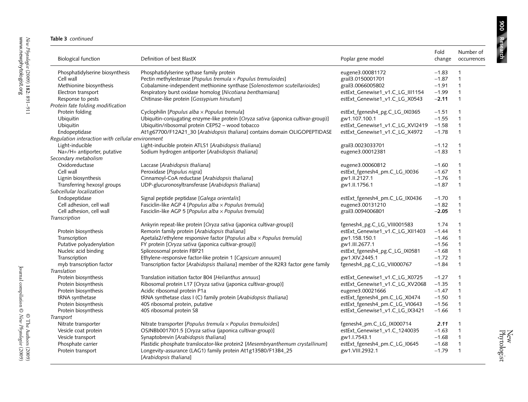900 Research **Research 900**

| <b>Biological function</b>                       | Definition of best BlastX                                                              | Poplar gene model                | Fold<br>change | Number of<br>occurrences |
|--------------------------------------------------|----------------------------------------------------------------------------------------|----------------------------------|----------------|--------------------------|
| Phosphatidylserine biosynthesis                  | Phosphatidylserine sythase family protein                                              | eugene3.00081172                 | $-1.83$        | $\mathbf{1}$             |
| Cell wall                                        | Pectin methylesterase [Populus tremula $\times$ Populus tremuloides]                   | grail3.0150001701                | $-1.87$        | $\mathbf{1}$             |
| Methionine biosynthesis                          | Cobalamine-independent methionine synthase [Solenostemon scutellarioides]              | grail3.0066005802                | $-1.91$        | $\mathbf{1}$             |
| Electron transport                               | Respiratory burst oxidase homolog [Nicotiana benthamiana]                              | estExt_Genewise1_v1.C_LG_III1154 | $-1.99$        | 1                        |
| Response to pests                                | Chitinase-like protein [Gossypium hirsutum]                                            | estExt_Genewise1_v1.C_LG_X0543   | $-2.11$        | $\mathbf{1}$             |
| Protein fate folding modification                |                                                                                        |                                  |                |                          |
| Protein folding                                  | Cyclophilin [Populus alba x Populus tremula]                                           | estExt_fgenesh4_pg.C_LG_IX0365   | $-1.51$        | 1                        |
| Ubiquitin                                        | Ubiquitin-conjugating enzyme-like protein [Oryza sativa (japonica cultivar-group)]     | gw1.107.100.1                    | $-1.55$        | $\mathbf{1}$             |
| Ubiquitin                                        | Ubiquitin/ribosomal protein CEP52 - wood tobacco                                       | estExt_Genewise1_v1.C_LG_XVI2419 | $-1.58$        | $\mathbf{1}$             |
| Endopeptidase                                    | At1g67700/F12A21_30 [Arabidopsis thaliana] contains domain OLIGOPEPTIDASE              | estExt_Genewise1_v1.C_LG_X4972   | $-1.78$        | $\mathbf{1}$             |
| Regulation interaction with cellular environment |                                                                                        |                                  |                |                          |
| Light-inducible                                  | Light-inducible protein ATLS1 [Arabidopsis thaliana]                                   | grail3.0023033701                | $-1.12$        | $\mathbf{1}$             |
| Na+/H+ antiporter, putative                      | Sodium hydrogen antiporter [Arabidopsis thaliana]                                      | eugene3.00012381                 | $-1.83$        | $\mathbf{1}$             |
| Secondary metabolism                             |                                                                                        |                                  |                |                          |
| Oxidoreductase                                   | Laccase [Arabidopsis thaliana]                                                         | eugene3.00060812                 | $-1.60$        | $\mathbf{1}$             |
| Cell wall                                        | Peroxidase [Populus nigra]                                                             | estExt_fgenesh4_pm.C_LG_I0036    | $-1.67$        | $\mathbf{1}$             |
| Lignin biosynthesis                              | Cinnamoyl-CoA reductase [Arabidopsis thaliana]                                         | gw1.II.2127.1                    | $-1.76$        | $\mathbf{1}$             |
| Transferring hexosyl groups                      | UDP-glucuronosyltransferase [Arabidopsis thaliana]                                     | gw1.II.1756.1                    | $-1.87$        | $\mathbf{1}$             |
| Subcellular localization                         |                                                                                        |                                  |                |                          |
| Endopeptidase                                    | Signal peptide peptidase [Galega orientalis]                                           | estExt_fgenesh4_pm.C_LG_IX0436   | $-1.70$        | $\mathbf{1}$             |
| Cell adhesion, cell wall                         | Fasciclin-like AGP 4 [Populus alba × Populus tremula]                                  | eugene3.00131210                 | $-1.82$        | 1                        |
| Cell adhesion, cell wall                         | Fasciclin-like AGP 5 [Populus alba x Populus tremula]                                  | grail3.0094006801                | $-2.05$        | $\mathbf{1}$             |
| Transcription                                    |                                                                                        |                                  |                |                          |
|                                                  | Ankyrin repeat-like protein [Oryza sativa (japonica cultivar-group)]                   | fgenesh4_pg.C_LG_VIII001583      | 1.74           | 1                        |
| Protein biosynthesis                             | Remorin family protein [Arabidopsis thaliana]                                          | estExt_Genewise1_v1.C_LG_XII1403 | $-1.44$        | $\mathbf{1}$             |
| Transcription                                    | Apetala2/ethylene responsive factor [Populus alba $\times$ Populus tremula]            | gw1.158.150.1                    | $-1.46$        | 1                        |
| Putative polyadenylation                         | FY protein [Oryza sativa (japonica cultivar-group)]                                    | gw1.III.2677.1                   | $-1.56$        | $\mathbf{1}$             |
| Nucleic acid binding                             | Spliceosomal protein FBP21                                                             | estExt_fgenesh4_pg.C_LG_IX0581   | $-1.68$        | $\mathbf{1}$             |
| Transcription                                    | Ethylene-responsive factor-like protein 1 [Capsicum annuum]                            | gw1.XIV.2445.1                   | $-1.72$        | $\mathbf{1}$             |
| myb transcription factor                         | Transcription factor [Arabidopsis thaliana] member of the R2R3 factor gene family      | fgenesh4_pg.C_LG_VII000767       | $-1.84$        | $\mathbf{1}$             |
| Translation                                      |                                                                                        |                                  |                |                          |
| Protein biosynthesis                             | Translation initiation factor B04 [Helianthus annuus]                                  | estExt_Genewise1_v1.C_LG_X0725   | $-1.27$        | $\mathbf{1}$             |
| Protein biosynthesis                             | Ribosomal protein L17 [Oryza sativa (japonica cultivar-group)]                         | estExt_Genewise1_v1.C_LG_XV2068  | $-1.35$        | $\mathbf{1}$             |
| Protein biosynthesis                             | Acidic ribosomal protein P1a                                                           | eugene3.00021666                 | $-1.47$        | $\mathbf{1}$             |
| tRNA synthetase                                  | tRNA synthetase class I (C) family protein [Arabidopsis thaliana]                      | estExt_fgenesh4_pm.C_LG_X0474    | $-1.50$        | $\mathbf{1}$             |
| Protein biosynthesis                             | 40S ribosomal protein, putative                                                        | estExt_fgenesh4_pm.C_LG_VI0643   | $-1.56$        | 1                        |
| Protein biosynthesis                             | 40S ribosomal protein S8                                                               | estExt_Genewise1_v1.C_LG_IX3421  | $-1.66$        | $\mathbf{1}$             |
| Transport                                        |                                                                                        |                                  |                |                          |
| Nitrate transporter                              | Nitrate transporter [Populus tremula $\times$ Populus tremuloides]                     | fgenesh4_pm.C_LG_IX000714        | 2.11           | $\mathbf{1}$             |
| Vesicle coat protein                             | OSJNBb0017I01.5 [Oryza sativa (japonica cultivar-group)]                               | estExt_Genewise1_v1.C_1240035    | $-1.63$        | $\mathbf{1}$             |
| Vesicle transport                                | Synaptobrevin [Arabidopsis thaliana]                                                   | gw1.1.7543.1                     | $-1.68$        | $\mathbf{1}$             |
| Phosphate carrier                                | Plastidic phosphate translocator-like protein2 [Mesembryanthemum crystallinum]         | estExt_fgenesh4_pm.C_LG_I0645    | $-1.68$        | $\mathbf{1}$             |
| Protein transport                                | Longevity-assurance (LAG1) family protein At1g13580/F13B4_25<br>[Arabidopsis thaliana] | gw1.VIII.2932.1                  | $-1.79$        | $\mathbf{1}$             |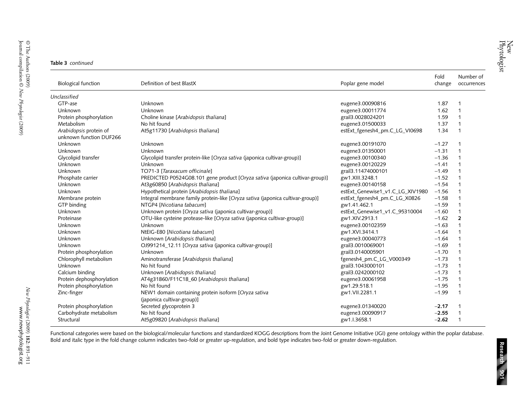|  | Table 3 continued |
|--|-------------------|
|--|-------------------|

| <b>Biological function</b>                        | Definition of best BlastX                                                          | Poplar gene model                | Fold<br>change | Number of<br>occurrences |
|---------------------------------------------------|------------------------------------------------------------------------------------|----------------------------------|----------------|--------------------------|
| Unclassified                                      |                                                                                    |                                  |                |                          |
| GTP-ase                                           | Unknown                                                                            | eugene3.00090816                 | 1.87           |                          |
| Unknown                                           | Unknown                                                                            | eugene3.00011774                 | 1.62           | 1                        |
| Protein phosphorylation                           | Choline kinase [Arabidopsis thaliana]                                              | grail3.0028024201                | 1.59           |                          |
| Metabolism                                        | No hit found                                                                       | eugene3.01500033                 | 1.37           |                          |
| Arabidopsis protein of<br>unknown function DUF266 | At5g11730 [Arabidopsis thaliana]                                                   | estExt_fgenesh4_pm.C_LG_VI0698   | 1.34           | $\mathbf 1$              |
| Unknown                                           | Unknown                                                                            | eugene3.00191070                 | $-1.27$        |                          |
| Unknown                                           | Unknown                                                                            | eugene3.01350001                 | $-1.31$        | $\mathbf 1$              |
| Glycolipid transfer                               | Glycolipid transfer protein-like [Oryza sativa (japonica cultivar-group)]          | eugene3.00100340                 | $-1.36$        | $\mathbf{1}$             |
| Unknown                                           | Unknown                                                                            | eugene3.00120229                 | $-1.41$        | $\mathbf{1}$             |
| Unknown                                           | TO71-3 [Taraxacum officinale]                                                      | grail3.11474000101               | $-1.49$        |                          |
| Phosphate carrier                                 | PREDICTED P0524G08.101 gene product [Oryza sativa (japonica cultivar-group)]       | gw1.XIII.3248.1                  | $-1.52$        | $\mathbf{1}$             |
| Unknown                                           | At3g60850 [Arabidopsis thaliana]                                                   | eugene3.00140158                 | $-1.54$        |                          |
| Unknown                                           | Hypothetical protein [Arabidopsis thaliana]                                        | estExt_Genewise1_v1.C_LG_XIV1980 | $-1.56$        |                          |
| Membrane protein                                  | Integral membrane family protein-like [Oryza sativa (japonica cultivar-group)]     | estExt_fgenesh4_pm.C_LG_X0826    | $-1.58$        |                          |
| GTP binding                                       | NTGP4 [Nicotiana tabacum]                                                          | gw1.41.462.1                     | $-1.59$        |                          |
| Unknown                                           | Unknown protein [Oryza sativa (japonica cultivar-group)]                           | estExt_Genewise1_v1.C_95310004   | $-1.60$        |                          |
| Proteinase                                        | OTU-like cysteine protease-like [Oryza sativa (japonica cultivar-group)]           | gw1.XIV.2913.1                   | $-1.62$        | $\overline{2}$           |
| Unknown                                           | Unknown                                                                            | eugene3.00102359                 | $-1.63$        |                          |
| Unknown                                           | NtEIG-E80 [Nicotiana tabacum]                                                      | gw1.XVI.3414.1                   | $-1.64$        |                          |
| Unknown                                           | Unknown [Arabidopsis thaliana]                                                     | eugene3.00040773                 | $-1.64$        | 1                        |
| Unknown                                           | OJ991214_12.11 [Oryza sativa (japonica cultivar-group)]                            | grail3.0010069001                | $-1.69$        | 1                        |
| Protein phosphorylation                           | Unknown                                                                            | grail3.0140005901                | $-1.70$        | $\mathbf 1$              |
| Chlorophyll metabolism                            | Aminotransferase [Arabidopsis thaliana]                                            | fgenesh4_pm.C_LG_V000349         | $-1.73$        | 1                        |
| Unknown                                           | No hit found                                                                       | grail3.1043000101                | $-1.73$        | $\mathbf{1}$             |
| Calcium binding                                   | Unknown [Arabidopsis thaliana]                                                     | grail3.0242000102                | $-1.73$        | $\mathbf 1$              |
| Protein dephosphorylation                         | AT4g31860/F11C18_60 [Arabidopsis thaliana]                                         | eugene3.00061958                 | $-1.75$        | $\mathbf{1}$             |
| Protein phosphorylation                           | No hit found                                                                       | gw1.29.518.1                     | $-1.95$        | $\mathbf 1$              |
| Zinc-finger                                       | NEW1 domain containing protein isoform [Oryza sativa<br>(japonica cultivar-group)] | gw1.VII.2281.1                   | $-1.99$        | $\mathbf{1}$             |
| Protein phosphorylation                           | Secreted glycoprotein 3                                                            | eugene3.01340020                 | $-2.17$        | 1                        |
| Carbohydrate metabolism                           | No hit found                                                                       | eugene3.00090917                 | $-2.55$        |                          |
| Structural                                        | At5g09820 [Arabidopsis thaliana]                                                   | gw1.I.3658.1                     | $-2.62$        | 1                        |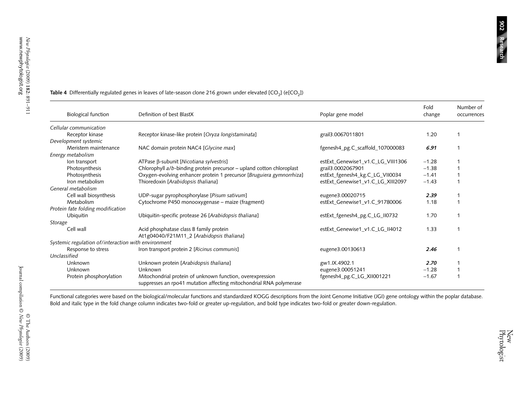| <b>Biological function</b>                          | Definition of best BlastX                                                                                                        | Poplar gene model                 | Fold<br>change | Number of<br>occurrences |
|-----------------------------------------------------|----------------------------------------------------------------------------------------------------------------------------------|-----------------------------------|----------------|--------------------------|
| Cellular communication                              |                                                                                                                                  |                                   |                |                          |
| Receptor kinase                                     | Receptor kinase-like protein [Oryza longistaminata]                                                                              | grail3.0067011801                 | 1.20           |                          |
| Development systemic                                |                                                                                                                                  |                                   |                |                          |
| Meristem maintenance                                | NAC domain protein NAC4 [Glycine max]                                                                                            | fgenesh4_pg.C_scaffold_107000083  | 6.91           |                          |
| Energy metabolism                                   |                                                                                                                                  |                                   |                |                          |
| lon transport                                       | ATPase β-subunit [Nicotiana sylvestris]                                                                                          | estExt_Genewise1_v1.C_LG_VIII1306 | $-1.28$        |                          |
| Photosynthesis                                      | Chlorophyll a/b-binding protein precursor – upland cotton chloroplast                                                            | grail3.0002067901                 | $-1.38$        |                          |
| Photosynthesis                                      | Oxygen-evolving enhancer protein 1 precursor [Bruguiera gymnorrhiza]                                                             | estExt_fgenesh4_kg.C_LG_VII0034   | $-1.41$        |                          |
| Iron metabolism                                     | Thioredoxin [Arabidopsis thaliana]                                                                                               | estExt_Genewise1_v1.C_LG_XIII2097 | $-1.43$        |                          |
| General metabolism                                  |                                                                                                                                  |                                   |                |                          |
| Cell wall biosynthesis                              | UDP-sugar pyrophosphorylase [Pisum sativum]                                                                                      | eugene3.00020715                  | 2.39           |                          |
| Metabolism                                          | Cytochrome P450 monooxygenase – maize (fragment)                                                                                 | estExt_Genewise1_v1.C_91780006    | 1.18           |                          |
| Protein fate folding modification                   |                                                                                                                                  |                                   |                |                          |
| Ubiquitin                                           | Ubiquitin-specific protease 26 [Arabidopsis thaliana]                                                                            | estExt_fgenesh4_pg.C_LG_II0732    | 1.70           |                          |
| Storage                                             |                                                                                                                                  |                                   |                |                          |
| Cell wall                                           | Acid phosphatase class B family protein                                                                                          | estExt_Genewise1_v1.C_LG_II4012   | 1.33           |                          |
|                                                     | At1g04040/F21M11_2 [Arabidopsis thaliana]                                                                                        |                                   |                |                          |
| Systemic regulation of/interaction with environment |                                                                                                                                  |                                   |                |                          |
| Response to stress                                  | Iron transport protein 2 [Ricinus communis]                                                                                      | eugene3.00130613                  | 2.46           |                          |
| Unclassified                                        |                                                                                                                                  |                                   |                |                          |
| Unknown                                             | Unknown protein [Arabidopsis thaliana]                                                                                           | gw1.IX.4902.1                     | 2.70           |                          |
| Unknown                                             | Unknown                                                                                                                          | eugene3.00051241                  | $-1.28$        |                          |
| Protein phosphorylation                             | Mitochondrial protein of unknown function, overexpression<br>suppresses an rpo41 mutation affecting mitochondrial RNA polymerase | fgenesh4_pg.C_LG_XII001221        | $-1.67$        |                          |

#### **Table 4** Differentially regulated genes in leaves of late-season clone 216 grown under elevated [CO<sub>2</sub>] (e[CO<sub>2</sub>])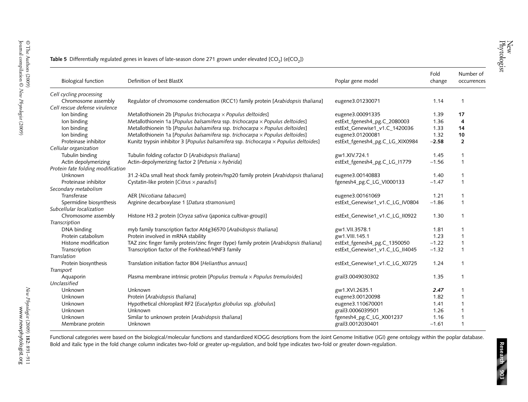| <b>Biological function</b>        | Definition of best BlastX                                                               | Poplar gene model               | Fold<br>change | Number of<br>occurrences |
|-----------------------------------|-----------------------------------------------------------------------------------------|---------------------------------|----------------|--------------------------|
| Cell cycling processing           |                                                                                         |                                 |                |                          |
| Chromosome assembly               | Regulator of chromosome condensation (RCC1) family protein [Arabidopsis thaliana]       | eugene3.01230071                | 1.14           | -1                       |
| Cell rescue defense virulence     |                                                                                         |                                 |                |                          |
| Ion binding                       | Metallothionein 2b [Populus trichocarpa $\times$ Populus deltoides]                     | eugene3.00091335                | 1.39           | 17                       |
| Ion binding                       | Metallothionein 1a [Populus balsamifera ssp. trichocarpa x Populus deltoides]           | estExt_fgenesh4_pg.C_2080003    | 1.36           | 4                        |
| Ion binding                       | Metallothionein 1b [Populus balsamifera ssp. trichocarpa $\times$ Populus deltoides]    | estExt_Genewise1_v1.C_1420036   | 1.33           | 14                       |
| Ion binding                       | Metallothionein 1a [Populus balsamifera ssp. trichocarpa x Populus deltoides]           | eugene3.01200081                | 1.32           | 10                       |
| Proteinase inhibitor              | Kunitz trypsin inhibitor 3 [Populus balsamifera ssp. trichocarpa x Populus deltoides]   | estExt_fgenesh4_pg.C_LG_XIX0984 | $-2.58$        | $\overline{2}$           |
| Cellular organization             |                                                                                         |                                 |                |                          |
| Tubulin binding                   | Tubulin folding cofactor D [Arabidopsis thaliana]                                       | gw1.XIV.724.1                   | 1.45           |                          |
| Actin depolymerizing              | Actin-depolymerizing factor 2 [Petunia $\times$ hybrida]                                | estExt_fgenesh4_pg.C_LG_I1779   | $-1.56$        | $\mathbf 1$              |
| Protein fate folding modification |                                                                                         |                                 |                |                          |
| Unknown                           | 31.2-kDa small heat shock family protein/hsp20 family protein [Arabidopsis thaliana]    | eugene3.00140883                | 1.40           | $\mathbf 1$              |
| Proteinase inhibitor              | Cystatin-like protein [Citrus × paradisi]                                               | fgenesh4_pg.C_LG_VI000133       | $-1.47$        | $\mathbf 1$              |
| Secondary metabolism              |                                                                                         |                                 |                |                          |
| Transferase                       | AER INicotiana tabacum1                                                                 | eugene3.00161069                | 1.21           | $\mathbf 1$              |
| Spermidine biosynthesis           | Arginine decarboxylase 1 [Datura stramonium]                                            | estExt_Genewise1_v1.C_LG_IV0804 | $-1.86$        | $\mathbf 1$              |
| Subcellular localization          |                                                                                         |                                 |                |                          |
| Chromosome assembly               | Histone H3.2 protein [Oryza sativa (japonica cultivar-group)]                           | estExt_Genewise1_v1.C_LG_II0922 | 1.30           | $\mathbf 1$              |
| Transcription                     |                                                                                         |                                 |                |                          |
| DNA binding                       | myb family transcription factor At4g36570 [Arabidopsis thaliana]                        | gw1.VII.3578.1                  | 1.81           |                          |
| Protein catabolism                | Protein involved in mRNA stability                                                      | gw1.VIII.145.1                  | 1.23           |                          |
| Histone modification              | TAZ zinc finger family protein/zinc finger (type) family protein [Arabidopsis thaliana] | estExt_fgenesh4_pg.C_1350050    | $-1.22$        |                          |
| Transcription                     | Transcription factor of the Forkhead/HNF3 family                                        | estExt Genewise1 v1.C LG II4045 | $-1.32$        |                          |
| Translation                       |                                                                                         |                                 |                |                          |
| Protein biosynthesis              | Translation initiation factor B04 [Helianthus annuus]                                   | estExt_Genewise1_v1.C_LG_X0725  | 1.24           | $\mathbf 1$              |
| Transport                         |                                                                                         |                                 |                |                          |
| Aquaporin                         | Plasma membrane intrinsic protein [Populus tremula $\times$ Populus tremuloides]        | grail3.0049030302               | 1.35           | $\mathbf 1$              |
| Unclassified                      |                                                                                         |                                 |                |                          |
| Unknown                           | Unknown                                                                                 | gw1.XVI.2635.1                  | 2.47           |                          |
| Unknown                           | Protein [Arabidopsis thaliana]                                                          | eugene3.00120098                | 1.82           |                          |
| Unknown                           | Hypothetical chloroplast RF2 [Eucalyptus globulus ssp. globulus]                        | eugene3.110670001               | 1.41           |                          |
| Unknown                           | Unknown                                                                                 | grail3.0006039501               | 1.26           |                          |
| Unknown                           | Similar to unknown protein [Arabidopsis thaliana]                                       | fgenesh4_pg.C_LG_X001237        | 1.16           |                          |
| Membrane protein                  | Unknown                                                                                 | grail3.0012030401               | $-1.61$        |                          |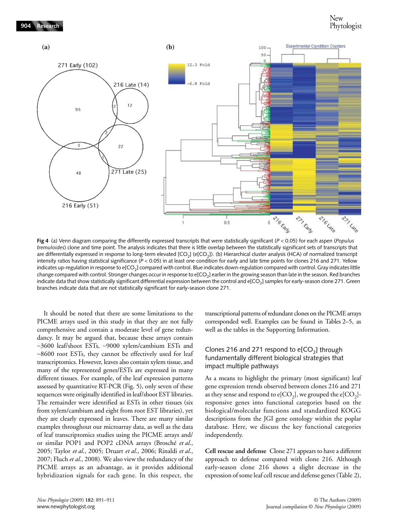

**Fig 4** (a) Venn diagram comparing the differently expressed transcripts that were statistically significant (*P* < 0.05) for each aspen (*Populus tremuloides*) clone and time point. The analysis indicates that there is little overlap between the statistically significant sets of transcripts that are differentially expressed in response to long-term elevated [CO<sub>2</sub>] (e[CO<sub>2</sub>]). (b) Hierarchical cluster analysis (HCA) of normalized transcript intensity ratios having statistical significance (*P* < 0.05) in at least one condition for early and late time points for clones 216 and 271. Yellow indicates up-regulation in response to e[CO<sub>2</sub>] compared with control. Blue indicates down-regulation compared with control. Gray indicates little change compared with control. Stronger changes occur in response to e[CO<sub>2</sub>] earlier in the growing season than late in the season. Red branches indicate data that show statistically significant differential expression between the control and  $e[CO<sub>2</sub>]$  samples for early-season clone 271. Green branches indicate data that are not statistically significant for early-season clone 271.

It should be noted that there are some limitations to the PICME arrays used in this study in that they are not fully comprehensive and contain a moderate level of gene redundancy. It may be argued that, because these arrays contain ∼3600 leaf/shoot ESTs, ∼9000 xylem/cambium ESTs and ∼8600 root ESTs, they cannot be effectively used for leaf transcriptomics. However, leaves also contain xylem tissue, and many of the represented genes/ESTs are expressed in many different tissues. For example, of the leaf expression patterns assessed by quantitative RT-PCR (Fig. 5), only seven of these sequences were originally identified in leaf/shoot EST libraries. The remainder were identified as ESTs in other tissues (six from xylem/cambium and eight from root EST libraries), yet they are clearly expressed in leaves. There are many similar examples throughout our microarray data, as well as the data of leaf transcriptomics studies using the PICME arrays and/ or similar POP1 and POP2 cDNA arrays (Brosché *et al*., 2005; Taylor *et al*., 2005; Druart *et al*., 2006; Rinaldi *et al*., 2007; Fluch *et al*., 2008). We also view the redundancy of the PICME arrays as an advantage, as it provides additional hybridization signals for each gene. In this respect, the transcriptional patterns of redundant clones on the PICME arrays corresponded well. Examples can be found in Tables 2–5, as well as the tables in the Supporting Information.

### Clones 216 and 271 respond to  $e[CO<sub>3</sub>]$  through fundamentally different biological strategies that impact multiple pathways

As a means to highlight the primary (most significant) leaf gene expression trends observed between clones 216 and 271 as they sense and respond to  $e[CO_2]$ , we grouped the  $e[CO_2]$ responsive genes into functional categories based on the biological/molecular functions and standardized KOGG descriptions from the JGI gene ontology within the poplar database. Here, we discuss the key functional categories independently.

**Cell rescue and defense** Clone 271 appears to have a different approach to defense compared with clone 216. Although early-season clone 216 shows a slight decrease in the expression of some leaf cell rescue and defense genes (Table 2),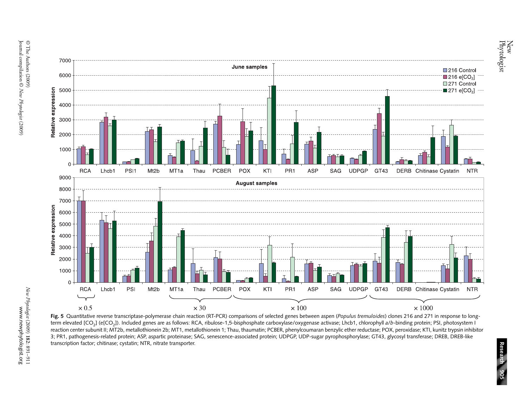



**Fig. <sup>5</sup>** Quantitative reverse transcriptase-polymerase chain reaction (RT-PCR) comparisons of selected genes between aspen (*Populus tremuloides*) clones 216 and 271 in response to longterm elevated [CO2] (e[CO2]). Included genes are as follows: RCA, ribulose-1,5-bisphosphate carboxylase/oxygenase activase; Lhcb1, chlorophyll *a*/*b*-binding protein; PSI, photosystem I reaction center subunit II; MT2b, metallothionein 2b; MT1, metallothionein 1; Thau, thaumatin; PCBER, phenylcoumaran benzylic ether reductase; POX, peroxidase; KTI, kunitz trypsin inhibitor 3; PR1, pathogenesis-related protein; ASP, aspartic proteinase; SAG, senescence-associated protein; UDPGP, UDP-sugar pyrophosphorylase; GT43, glycosyl transferase; DREB, DREB-like transcription factor; chitinase; cystatin; NTR, nitrate transporter.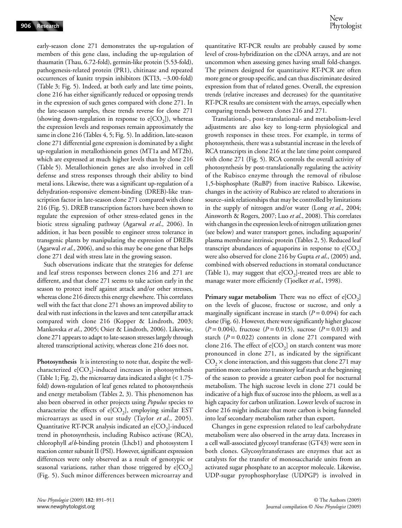early-season clone 271 demonstrates the up-regulation of members of this gene class, including the up-regulation of thaumatin (Thau, 6.72-fold), germin-like protein (5.53-fold), pathogenesis-related protein (PR1), chitinase and repeated occurrences of kunitz trypsin inhibitors (KTI3, ∼3.00-fold) (Table 3; Fig. 5). Indeed, at both early and late time points, clone 216 has either significantly reduced or opposing trends in the expression of such genes compared with clone 271. In the late-season samples, these trends reverse for clone 271 (showing down-regulation in response to  $e[CO_2]$ ), whereas the expression levels and responses remain approximately the same in clone 216 (Tables 4, 5; Fig. 5). In addition, late-season clone 271 differential gene expression is dominated by a slight up-regulation in metallothionein genes (MT1a and MT2b), which are expressed at much higher levels than by clone 216 (Table 5). Metallothionein genes are also involved in cell defense and stress responses through their ability to bind metal ions. Likewise, there was a significant up-regulation of a dehydration-responsive element-binding (DREB)-like transcription factor in late-season clone 271 compared with clone 216 (Fig. 5). DREB transcription factors have been shown to regulate the expression of other stress-related genes in the biotic stress signaling pathway (Agarwal *et al*., 2006). In addition, it has been possible to engineer stress tolerance in transgenic plants by manipulating the expression of DREBs (Agarwal *et al*., 2006), and so this may be one gene that helps clone 271 deal with stress late in the growing season.

Such observations indicate that the strategies for defense and leaf stress responses between clones 216 and 271 are different, and that clone 271 seems to take action early in the season to protect itself against attack and/or other stresses, whereas clone 216 directs this energy elsewhere. This correlates well with the fact that clone 271 shows an improved ability to deal with rust infections in the leaves and tent caterpillar attack compared with clone 216 (Kopper & Lindroth, 2003; Mankovska *et al*., 2005; Osier & Lindroth, 2006). Likewise, clone 271 appears to adapt to late-season stresses largely through altered transcriptional activity, whereas clone 216 does not.

**Photosynthesis** It is interesting to note that, despite the wellcharacterized  $e[CO_2]$ -induced increases in photosynthesis (Table 1; Fig. 2), the microarray data indicated a slight (< 1.75 fold) down-regulation of leaf genes related to photosynthesis and energy metabolism (Tables 2, 3). This phenomenon has also been observed in other projects using *Populus* species to characterize the effects of e[ $CO<sub>2</sub>$ ], employing similar EST microarrays as used in our study (Taylor *et al*., 2005). Quantitative RT-PCR analysis indicated an  $e[CO<sub>2</sub>]$ -induced trend in photosynthesis, including Rubisco activase (RCA), chlorophyll *a*/*b*-binding protein (Lhcb1) and photosystem I reaction center subunit II (PSI). However, significant expression differences were only observed as a result of genotypic or seasonal variations, rather than those triggered by  $e[CO<sub>2</sub>]$ (Fig. 5). Such minor differences between microarray and

quantitative RT-PCR results are probably caused by some level of cross-hybridization on the cDNA arrays, and are not uncommon when assessing genes having small fold-changes. The primers designed for quantitative RT-PCR are often more gene or group specific, and can thus discriminate desired expression from that of related genes. Overall, the expression trends (relative increases and decreases) for the quantitative RT-PCR results are consistent with the arrays, especially when comparing trends between clones 216 and 271.

Translational-, post-translational- and metabolism-level adjustments are also key to long-term physiological and growth responses in these trees. For example, in terms of photosynthesis, there was a substantial increase in the levels of RCA transcripts in clone 216 at the late time point compared with clone 271 (Fig. 5). RCA controls the overall activity of photosynthesis by post-translationally regulating the activity of the Rubisco enzyme through the removal of ribulose 1,5-bisphosphate (RuBP) from inactive Rubisco. Likewise, changes in the activity of Rubisco are related to alterations in source–sink relationships that may be controlled by limitations in the supply of nitrogen and/or water (Long *et al*., 2004; Ainsworth & Rogers, 2007; Luo *et al*., 2008). This correlates with changes in the expression levels of nitrogen utilization genes (see below) and water transport genes, including aquaporin/ plasma membrane intrinsic protein (Tables 2, 5). Reduced leaf transcript abundances of aquaporins in response to  $e[CO<sub>2</sub>]$ were also observed for clone 216 by Gupta *et al*., (2005) and, combined with observed reductions in stomatal conductance (Table 1), may suggest that  $e[CO<sub>2</sub>]$ -treated trees are able to manage water more efficiently (Tjoelker *et al*., 1998).

**Primary sugar metabolism** There was no effect of  $e[CO_2]$ on the levels of glucose, fructose or sucrose, and only a marginally significant increase in starch  $(P = 0.094)$  for each clone (Fig. 6). However, there were significantly higher glucose  $(P = 0.004)$ , fructose  $(P = 0.015)$ , sucrose  $(P = 0.013)$  and starch  $(P = 0.022)$  contents in clone 271 compared with clone 216. The effect of  $e[CO_2]$  on starch content was more pronounced in clone 271, as indicated by the significant  $CO<sub>2</sub> \times$  clone interaction, and this suggests that clone 271 may partition more carbon into transitory leaf starch at the beginning of the season to provide a greater carbon pool for nocturnal metabolism. The high sucrose levels in clone 271 could be indicative of a high flux of sucrose into the phloem, as well as a high capacity for carbon utilization. Lower levels of sucrose in clone 216 might indicate that more carbon is being funneled into leaf secondary metabolism rather than export.

Changes in gene expression related to leaf carbohydrate metabolism were also observed in the array data. Increases in a cell wall-associated glycosyl transferase (GT43) were seen in both clones. Glycosyltransferases are enzymes that act as catalysts for the transfer of monosaccharide units from an activated sugar phosphate to an acceptor molecule. Likewise, UDP-sugar pyrophosphorylase (UDPGP) is involved in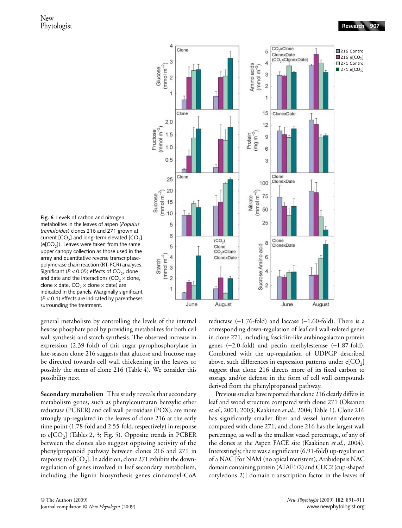

**Fig. 6** Levels of carbon and nitrogen metabolites in the leaves of aspen (*Populus tremuloides*) clones 216 and 271 grown at current  $[CO<sub>2</sub>]$  and long-term elevated  $[CO<sub>2</sub>]$  $(e[CO<sub>2</sub>])$ . Leaves were taken from the same upper canopy collection as those used in the array and quantitative reverse transcriptasepolymerase chain reaction (RT-PCR) analyses. Significant ( $P < 0.05$ ) effects of CO<sub>2</sub>, clone and date and the interactions (CO<sub>2</sub>  $\times$  clone, clone  $\times$  date, CO<sub>2</sub>  $\times$  clone  $\times$  date) are indicated in the panels. Marginally significant (*P* < 0.1) effects are indicated by parentheses surrounding the treatment.

general metabolism by controlling the levels of the internal hexose phosphate pool by providing metabolites for both cell wall synthesis and starch synthesis. The observed increase in expression (2.39-fold) of this sugar pyrophosphorylase in late-season clone 216 suggests that glucose and fructose may be directed towards cell wall thickening in the leaves or possibly the stems of clone 216 (Table 4). We consider this possibility next.

**Secondary metabolism** This study reveals that secondary metabolism genes, such as phenylcoumaran benzylic ether reductase (PCBER) and cell wall peroxidase (POX), are more strongly up-regulated in the leaves of clone 216 at the early time point (1.78-fold and 2.55-fold, respectively) in response to  $e[CO_2]$  (Tables 2, 3; Fig. 5). Opposite trends in PCBER between the clones also suggest opposing activity of the phenylpropanoid pathway between clones 216 and 271 in response to  $e[CO_2]$ . In addition, clone 271 exhibits the downregulation of genes involved in leaf secondary metabolism, including the lignin biosynthesis genes cinnamoyl-CoA reductase (−1.76-fold) and laccase (−1.60-fold). There is a corresponding down-regulation of leaf cell wall-related genes in clone 271, including fasciclin-like arabinogalactan protein genes (−2.0-fold) and pectin methylesterase (−1.87-fold). Combined with the up-regulation of UDPGP described above, such differences in expression patterns under  $e[CO_2]$ suggest that clone 216 directs more of its fixed carbon to storage and/or defense in the form of cell wall compounds derived from the phenylpropanoid pathway.

Previous studies have reported that clone 216 clearly differs in leaf and wood structure compared with clone 271 (Oksanen *et al*., 2001, 2003; Kaakinen *et al*., 2004; Table 1). Clone 216 has significantly smaller fiber and vessel lumen diameters compared with clone 271, and clone 216 has the largest wall percentage, as well as the smallest vessel percentage, of any of the clones at the Aspen FACE site (Kaakinen *et al*., 2004). Interestingly, there was a significant (6.91-fold) up-regulation of a NAC [for NAM (no apical meristem), Arabidopsis NAC domain containing protein (ATAF1/2) and CUC2 (cup-shaped cotyledons 2)] domain transcription factor in the leaves of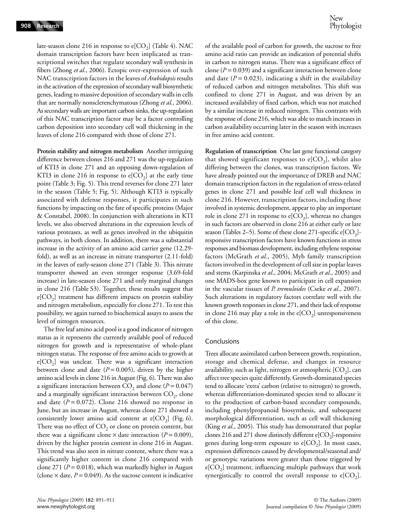late-season clone 216 in response to  $e[CO<sub>2</sub>]$  (Table 4). NAC domain transcription factors have been implicated as transcriptional switches that regulate secondary wall synthesis in fibers (Zhong *et al*., 2006). Ectopic over-expression of such NAC transcription factors in the leaves of *Arabidopsis* results in the activation of the expression of secondary wall biosynthetic genes, leading to massive deposition of secondary walls in cells that are normally nonsclerenchymatous (Zhong *et al*., 2006). As secondary walls are important carbon sinks, the up-regulation of this NAC transcription factor may be a factor controlling carbon deposition into secondary cell wall thickening in the leaves of clone 216 compared with those of clone 271.

**Protein stability and nitrogen metabolism** Another intriguing difference between clones 216 and 271 was the up-regulation of KTI3 in clone 271 and an opposing down-regulation of KTI3 in clone 216 in response to  $e[CO_2]$  at the early time point (Table 3; Fig. 5). This trend reverses for clone 271 later in the season (Table 5; Fig. 5). Although KTI3 is typically associated with defense responses, it participates in such functions by impacting on the fate of specific proteins (Major & Constabel, 2008). In conjunction with alterations in KTI levels, we also observed alterations in the expression levels of various proteases, as well as genes involved in the ubiquitin pathways, in both clones. In addition, there was a substantial increase in the activity of an amino acid carrier gene (12.29 fold), as well as an increase in nitrate transporter (2.11-fold) in the leaves of early-season clone 271 (Table 3). This nitrate transporter showed an even stronger response (3.69-fold increase) in late-season clone 271 and only marginal changes in clone 216 (Table S3). Together, these results suggest that  $e[CO_2]$  treatment has different impacts on protein stability and nitrogen metabolism, especially for clone 271. To test this possibility, we again turned to biochemical assays to assess the level of nitrogen resources.

The free leaf amino acid pool is a good indicator of nitrogen status as it represents the currently available pool of reduced nitrogen for growth and is representative of whole-plant nitrogen status. The response of free amino acids to growth at  $e[CO<sub>2</sub>]$  was unclear. There was a significant interaction between clone and date  $(P = 0.005)$ , driven by the higher amino acid levels in clone 216 in August (Fig. 6). There was also a significant interaction between  $CO_2$  and clone ( $P = 0.047$ ) and a marginally significant interaction between  $CO<sub>2</sub>$ , clone and date  $(P = 0.072)$ . Clone 216 showed no response in June, but an increase in August, whereas clone 271 showed a consistently lower amino acid content at  $e[CO_2]$  (Fig. 6). There was no effect of  $CO<sub>2</sub>$  or clone on protein content, but there was a significant clone  $\times$  date interaction ( $P = 0.009$ ), driven by the higher protein content in clone 216 in August. This trend was also seen in nitrate content, where there was a significantly higher content in clone 216 compared with clone 271 (*P* = 0.018), which was markedly higher in August (clone  $\times$  date,  $P = 0.049$ ). As the sucrose content is indicative

of the available pool of carbon for growth, the sucrose to free amino acid ratio can provide an indication of potential shifts in carbon to nitrogen status. There was a significant effect of clone (*P* = 0.039) and a significant interaction between clone and date  $(P = 0.023)$ , indicating a shift in the availability of reduced carbon and nitrogen metabolites. This shift was confined to clone 271 in August, and was driven by an increased availability of fixed carbon, which was not matched by a similar increase in reduced nitrogen. This contrasts with the response of clone 216, which was able to match increases in carbon availability occurring later in the season with increases in free amino acid content.

**Regulation of transcription** One last gene functional category that showed significant responses to  $e[CO_2]$ , whilst also differing between the clones, was transcription factors. We have already pointed out the importance of DREB and NAC domain transcription factors in the regulation of stress-related genes in clone 271 and possible leaf cell wall thickness in clone 216. However, transcription factors, including those involved in systemic development, appear to play an important role in clone 271 in response to  $e[CO_2]$ , whereas no changes in such factors are observed in clone 216 at either early or late season (Tables 2–5). Some of these clone 271-specific  $e[CO_2]$ responsive transcription factors have known functions in stress responses and biomass development, including ethylene response factors (McGrath *et al*., 2005), Myb family transcription factors involved in the development of cell size in poplar leaves and stems (Karpinska *et al*., 2004; McGrath *et al*., 2005) and one MADS-box gene known to participate in cell expansion in the vascular tissues of *P. tremuloides* (Cseke *et al*., 2007). Such alterations in regulatory factors correlate well with the known growth responses in clone 271, and their lack of response in clone 216 may play a role in the  $e[CO<sub>2</sub>]$  unresponsiveness of this clone.

#### Conclusions

Trees allocate assimilated carbon between growth, respiration, storage and chemical defense, and changes in resource availability, such as light, nitrogen or atmospheric  $[CO<sub>2</sub>]$ , can affect tree species quite differently. Growth-dominated species tend to allocate 'extra' carbon (relative to nitrogen) to growth, whereas differentiation-dominated species tend to allocate it to the production of carbon-based secondary compounds, including phenylpropanoid biosynthesis, and subsequent morphological differentiation, such as cell wall thickening (King *et al*., 2005). This study has demonstrated that poplar clones 216 and 271 show distinctly different  $e[CO<sub>2</sub>]$ -responsive genes during long-term exposure to  $e[CO<sub>2</sub>]$ . In most cases, expression differences caused by developmental/seasonal and/ or genotypic variations were greater than those triggered by  $e[CO<sub>2</sub>]$  treatment, influencing multiple pathways that work synergistically to control the overall response to  $e[CO<sub>2</sub>]$ .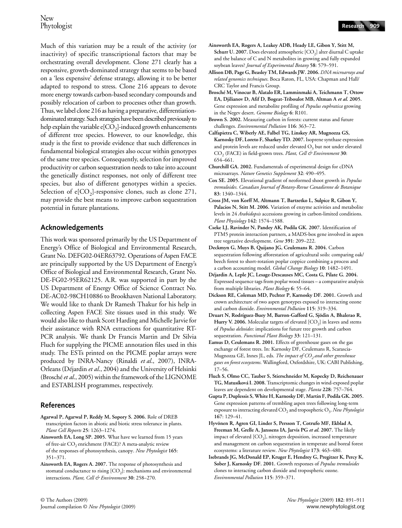Much of this variation may be a result of the activity (or inactivity) of specific transcriptional factors that may be orchestrating overall development. Clone 271 clearly has a responsive, growth-dominated strategy that seems to be based on a 'less expensive' defense strategy, allowing it to be better adapted to respond to stress. Clone 216 appears to devote more energy towards carbon-based secondary compounds and possibly relocation of carbon to processes other than growth. Thus, we label clone 216 as having a preparative, differentiationdominated strategy. Such strategies have been described previously to help explain the variable  $e[CO_2]$ -induced growth enhancements of different tree species. However, to our knowledge, this study is the first to provide evidence that such differences in fundamental biological strategies also occur within genotypes of the same tree species. Consequently, selection for improved productivity or carbon sequestration needs to take into account the genetically distinct responses, not only of different tree species, but also of different genotypes within a species. Selection of  $e[CO_2]$ -responsive clones, such as clone 271, may provide the best means to improve carbon sequestration potential in future plantations.

### **Acknowledgements**

This work was sponsored primarily by the US Department of Energy's Office of Biological and Environmental Research, Grant No. DEFG02-04ER63792. Operations of Aspen FACE are principally supported by the US Department of Energy's Office of Biological and Environmental Research, Grant No. DE-FG02-95ER62125. A.R. was supported in part by the US Department of Energy Office of Science Contract No. DE-AC02-98CH10886 to Brookhaven National Laboratory. We would like to thank Dr Ramesh Thakur for his help in collecting Aspen FACE Site tissues used in this study. We would also like to thank Scott Harding and Michelle Jarvie for their assistance with RNA extractions for quantitative RT-PCR analysis. We thank Dr Francis Martin and Dr Silvia Fluch for supplying the PICME annotation files used in this study. The ESTs printed on the PICME poplar arrays were produced by INRA-Nancy (Rinaldi *et al*., 2007), INRA-Orleans (Déjardin *et al*., 2004) and the University of Helsinki (Brosché *et al*., 2005) within the framework of the LIGNOME and ESTABLISH programmes, respectively.

### **References**

- **Agarwal P, Agarwal P, Reddy M, Sopory S. 2006.** Role of DREB transcription factors in abiotic and biotic stress tolerance in plants. *Plant Cell Reports* **25**: 1263–1274.
- **Ainsworth EA, Long SP. 2005.** What have we learned from 15 years of free-air CO<sub>2</sub> enrichment (FACE)? A meta-analytic review of the responses of photosynthesis, canopy. *New Phytologist* **165**: 351–371.
- **Ainsworth EA, Rogers A. 2007.** The response of photosynthesis and stomatal conductance to rising  $[CO<sub>2</sub>]$ : mechanisms and environmental interactions. *Plant, Cell & Environment* **30**: 258–270.
- **Ainsworth EA, Rogers A, Leakey ADB, Heady LE, Gibon Y, Stitt M,**  Schurr U. 2007. Does elevated atmospheric [CO<sub>2</sub>] alter diurnal C uptake and the balance of C and N metabolites in growing and fully expanded soybean leaves? *Journal of Experimental Botany* **58**: 579–591.
- **Allison DB, Page G, Beasley TM, Edwards JW. 2006.** *DNA microarrays and related genomics techniques*. Boca Raton, FL, USA: Chapman and Hall/ CRC Taylor and Francis Group.
- **Brosché M, Vinocur B, Alatalo ER, Lamminmaki A, Teichmann T, Ottow EA, Djilianov D, Afif D, Bogeat-Triboulot MB, Altman A** *et al***. 2005.**  Gene expression and metabolite profiling of *Populus euphratica* growing in the Negev desert. *Genome Biology* **6**: R101.

**Brown S. 2002.** Measuring carbon in forests: current status and future challenges. *Environmental Pollution* **116**: 363–72.

- **Calfapietra C, Wiberly AE, Falbel TG, Linskey AR, Mugnozza GS, Karnosky DF, Loreto F, Sharkey TD. 2007.** Isoprene synthase expression and protein levels are reduced under elevated  $O<sub>3</sub>$  but not under elevated CO2 (FACE) in field-grown trees. *Plant, Cell & Environment* **30**: 654–661.
- **Churchill GA. 2002.** Fundamentals of experimental design for cDNA microarrays. *Nature Genetics Supplement* **32**: 490–495.
- **Cox SE. 2005.** Elevational gradient of neoformed shoot growth in *Populus tremuloides*. *Canadian Journal of Botany-Revue Canadienne de Botanique* **83**: 1340–1344.
- **Cross JM, von Korff M, Altmann T, Bartzetko L, Sulpice R, Gibon Y, Palacios N, Stitt M. 2006.** Variation of enzyme activities and metabolite levels in 24 *Arabidopsis* accessions growing in carbon-limited conditions. *Plant Physiology* **142**: 1574–1588.
- **Cseke LJ, Ravinder N, Pandey AK, Podila GK. 2007.** Identification of PTM5 protein interaction partners, a MADS-box gene involved in aspen tree vegetative development. *Gene* **391**: 209–222.
- **Deckmyn G, Muys B, Quijano JG, Ceulemans R. 2004.** Carbon sequestration following afforestation of agricultural soils: comparing oak/ beech forest to short-rotation poplar coppice combining a process and a carbon accounting model. *Global Change Biology* **10**: 1482–1491.
- **Déjardin A, Leple JC, Lesage-Descauses MC, Costa G, Pilate G. 2004.**  Expressed sequence tags from poplar wood tissues – a comparative analysis from multiple libraries. *Plant Biology* **6**: 55–64.
- **Dickson RE, Coleman MD, Pechter P, Karnosky DF. 2001.** Growth and crown architecture of two aspen genotypes exposed to interacting ozone and carbon dioxide. *Environmental Pollution* **115**: 319–334.
- **Druart N, Rodríguez-Buey M, Barron-Gafford G, Sjödin A, Bhalerao R,**  Hurry V. 2006. Molecular targets of elevated [CO<sub>2</sub>] in leaves and stems of *Populus deltoides*: implications for future tree growth and carbon sequestration. *Functional Plant Biology* **33**: 121–131.
- **Eamus D, Ceulemans R. 2001.** Effects of greenhouse gases on the gas exchange of forest trees. In: Karnosky DF, Ceulemans R, Scarascia-Mugnozza GE, Innes JL, eds. *The impact of CO<sub>2</sub> and other greenhouse gases on forest ecosystems*. Wallingford, Oxfordshire, UK: CABI Publishing, 17–56.
- **Fluch S, Olmo CC, Tauber S, Stierschneider M, Kopecky D, Reichenauer TG, Matusíková I. 2008.** Transcriptomic changes in wind-exposed poplar leaves are dependent on developmental stage. *Planta* **228**: 757–764.
- **Gupta P, Duplessis S, White H, Karnosky DF, Martin F, Podila GK. 2005.**  Gene expression patterns of trembling aspen trees following long-term exposure to interacting elevated CO<sub>2</sub> and tropospheric O<sub>3</sub>. *New Phytologist* **167**: 129–41.
- **Hyvönen R, Agren GI, Linder S, Persson T, Cotrufo MF, Ekblad A, Freeman M, Grelle A, Janssens IA, Jarvis PG** *et al***. 2007.** The likely impact of elevated  $[CO_2]$ , nitrogen deposition, increased temperature and management on carbon sequestration in temperate and boreal forest ecosystems: a literature review. *New Phytologist* **173**: 463–480.
- **Isebrands JG, McDonald EP, Kruger E, Hendrey G, Pregitzer K, Percy K, Sober J, Karnosky DF. 2001.** Growth responses of *Populus tremuloides*  clones to interacting carbon dioxide and tropospheric ozone. *Environmental Pollution* **115**: 359–371.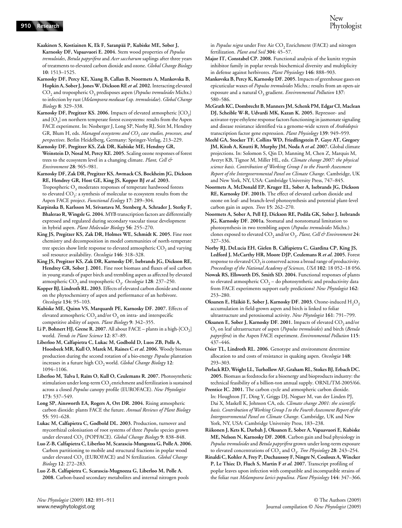**Kaakinen S, Kostiainen K, Ek F, Saranpää P, Kubiske ME, Sober J, Karnosky DF, Vapaavuori E. 2004.** Stem wood properties of *Populus tremuloides*, *Betula papyrifera* and *Acer saccharum* saplings after three years of treatments to elevated carbon dioxide and ozone. *Global Change Biology* **10**: 1513–1525.

**Karnosky DF, Percy KE, Xiang B, Callan B, Noormets A, Mankovska B, Hopkin A, Sober J, Jones W, Dickson RE** *et al***. 2002.** Interacting elevated CO2 and tropospheric O3 predisposes aspen (*Populus tremuloides* Michx.) to infection by rust (*Melampsora medusae* f.sp*. tremuloidae*). *Global Change Biology* **8**: 329–338.

Karnosky DF, Pregitzer KS. 2006. Impacts of elevated atmospheric [CO<sub>2</sub>] and  $[O_3]$  on northern temperate forest ecosystems: results from the Aspen FACE experiment. In: Nosberger J, Long SP, Norby RJ, Stitt M, Hendrey GR, Blum H, eds. *Managed ecosystems and CO<sub>2</sub> case studies, processes, and perspectives*. Berlin Heidelberg, Germany: Springer-Verlag, 213–229.

**Karnosky DF, Pregitzer KS, Zak DR, Kubiske ME, Hendrey GR, Weinstein D, Nosal M, Percy KE. 2005.** Scaling ozone responses of forest trees to the ecosystem level in a changing climate. *Plant, Cell & Environment* **28**: 965–981.

**Karnosky DF, Zak DR, Pregitzer KS, Awmack CS, Bockheim JG, Dickson RE, Hendrey GR, Host GE, King JS, Kopper BJ** *et al***. 2003.**  Tropospheric  $O_3$  moderates responses of temperate hardwood forests to elevated  $CO_2$ : a synthesis of molecular to ecosystem results from the Aspen FACE project. *Functional Ecology* **17**: 289–304.

**Karpinska B, Karlsson M, Srivastava M, Stenberg A, Schrader J, Sterky F, Bhalerao R, Wingsle G. 2004.** MYB transcription factors are differentially expressed and regulated during secondary vascular tissue development in hybrid aspen. *Plant Molecular Biology* **56**: 255–270.

**King JS, Pregitzer KS, Zak DR, Holmes WE, Schmidt K. 2005.** Fine root chemistry and decomposition in model communities of north-temperate tree species show little response to elevated atmospheric CO<sub>2</sub> and varying soil resource availability. *Oecologia* **146**: 318–328.

**King JS, Pregitzer KS, Zak DR, Karnosky DF, Isebrands JG, Dickson RE, Hendrey GR, Sober J. 2001.** Fine root biomass and fluxes of soil carbon in young stands of paper birch and trembling aspen as affected by elevated atmospheric CO<sub>2</sub> and tropospheric O<sub>3</sub>. *Oecologia* 128: 237-250.

**Kopper BJ, Lindroth RL. 2003.** Effects of elevated carbon dioxide and ozone on the phytochemistry of aspen and performance of an herbivore. *Oecologia* **134**: 95–103.

**Kubiske ME, Quinn VS, Marquardt PE, Karnosky DF. 2007.** Effects of elevated atmospheric  $CO_2$  and/or  $O_3$  on intra- and interspecific competitive ability of aspen. *Plant Biology* **9**: 342–355.

Li P, Bohnert HJ, Grene R. 2007. All about FACE – plants in a high-[CO<sub>2</sub>] world. *Trends in Plant Science* **12**: 87–89.

**Liberloo M, Calfapietra C, Lukac M, Godbold D, Luos ZB, Polle A, Hoosbeek MR, Kull O, Marek M, Raines C** *et al***. 2006.** Woody biomass production during the second rotation of a bio-energy *Populus* plantation increases in a future high CO<sub>2</sub> world. *Global Change Biology* 12: 1094–1106.

**Liberloo M, Tulva I, Raïm O, Kull O, Ceulemans R. 2007.** Photosynthetic stimulation under long-term CO<sub>2</sub> enrichment and fertilization is sustained across a closed *Populus* canopy profile (EUROFACE). *New Phytologist* **173**: 537–549.

**Long SP, Ainsworth EA, Rogers A, Ort DR. 2004.** Rising atmospheric carbon dioxide: plants FACE the future. *Annual Reviews of Plant Biology* **55**: 591–628.

**Lukac M, Calfapietra C, Godbold DL. 2003.** Production, turnover and mycorrhizal colonisation of root systems of three *Populus* species grown under elevated CO<sub>2</sub> (POPFACE). *Global Change Biology* 9: 838-848.

**Luo Z-B, Calfapietra C, Liberloo M, Scarascia-Mungozza G, Polle A. 2006.**  Carbon partitioning to mobile and structural fractions in poplar wood under elevated CO<sub>2</sub> (EUROFACE) and N fertilization. *Global Change Biology* **12**: 272–283.

**Luo Z-B, Calfapietra C, Scarascia-Mugnozza G, Liberloo M, Polle A. 2008.** Carbon-based secondary metabolites and internal nitrogen pools in *Populus nigra* under Free Air CO<sub>2</sub> Enrichment (FACE) and nitrogen fertilization. *Plant and Soil* **304**: 45–57.

- **Major IT, Constabel CP. 2008.** Functional analysis of the kunitz trypsin inhibitor family in poplar reveals biochemical diversity and multiplicity in defense against herbivores. *Plant Physiology* **146**: 888–903.
- **Mankovska B, Percy K, Karnosky DF. 2005.** Impacts of greenhouse gases on epicuticular waxes of *Populus tremuloides* Michx.: results from an open-air exposure and a natural O<sub>3</sub> gradient. *Environmental Pollution* 137: 580–586.

**McGrath KC, Dombrecht B, Manners JM, Schenk PM, Edgar CI, Maclean DJ, Scheible W-R, Udvardi MK, Kazan K. 2005.** Repressor- and activator-type ethylene response factors functioning in jasmonate signaling and disease resistance identified via a genome-wide screen of *Arabidopsis*  transcription factor gene expression. *Plant Physiology* **139**: 949–959.

**Meehl GA, Stocker TF, Collins WD, Friedlingstein P, Gaye AT, Gregory JM, Kitoh A, Knutti R, Murphy JM, Noda A** *et al***. 2007.** Global climate projections. In: Solomon S, Qin D, Manning M, Chen Z, Marquis M, Averyt KB, Tignor M, Miller HL, eds. *Climate change 2007: the physical science basis. Contribution of Working Group I to the Fourth Assessment Report of the Intergovernmental Panel on Climate Change*. Cambridge, UK and New York, NY, USA: Cambridge University Press, 747–845.

**Noormets A, McDonald EP, Kruger EL, Sober A, Isebrands JG, Dickson RE, Karnosky DF. 2001b.** The effect of elevated carbon dioxide and ozone on leaf- and branch-level photosynthesis and potential plant-level carbon gain in aspen. *Trees* **15**: 262–270.

**Noormets A, Sober A, Pell EJ, Dickson RE, Podila GK, Sober J, Isebrands JG, Karnosky DF. 2001a.** Stomatal and nonstomatal limitation to photosynthesis in two trembling aspen (*Populus tremuloides* Michx.) clones exposed to elevated CO<sub>2</sub> and/or O<sub>3</sub>. *Plant, Cell & Environment* 24: 327–336.

**Norby RJ, DeLucia EH, Gielen B, Calfapietra C, Giardina CP, King JS, Ledford J, McCarthy HR, Moore DJP, Ceulemans R** *et al***. 2005.** Forest response to elevated CO<sub>2</sub> is conserved across a broad range of productivity. *Proceedings of the National Academy of Sciences, USA* **102**: 18 052–18 056.

**Nowak RS, Ellsworth DS, Smith SD. 2004.** Functional responses of plants to elevated atmospheric  $CO<sub>2</sub> -$  do photosynthetic and productivity data from FACE experiments support early predictions? *New Phytologist* **162**: 253–280.

Oksanen E, Häikiö E, Sober J, Karnosky DF. 2003. Ozone-induced H<sub>2</sub>O<sub>2</sub> accumulation in field-grown aspen and birch is linked to foliar ultrastructure and peroxisomal activity. *New Phytologist* **161**: 791–799.

Oksanen E, Sober J, Karnosky DF. 2001. Impacts of elevated CO<sub>2</sub> and/or O3 on leaf ultrastructure of aspen (*Populus tremuloides*) and birch (*Betula papyrifera*) in the Aspen FACE experiment. *Environmental Pollution* **115**: 437–446.

**Osier TL, Lindroth RL. 2006.** Genotype and environment determine allocation to and costs of resistance in quaking aspen. *Oecologia* **148**: 293–303.

**Perlack RD, Wright LL, Turhollow AF, Graham RL, Stokes BJ, Erbach DC. 2005.** Biomass as feedstocks for a bioenergy and bioproducts industry: the technical feasibility of a billion-ton annual supply. ORNL/TM-2005/66.

Prentice IC. 2001. The carbon cycle and atmospheric carbon dioxide. In: Houghton JT, Ding Y, Griggs DJ, Noguer M, van der Linden PJ, Dai X, Maskell K, Johnson CA, eds. *Climate change 2001: the scientific basis. Contribution of Working Group I to the Fourth Assessment Report of the Intergovernmental Panel on Climate Change*. Cambridge, UK and New York, NY, USA: Cambridge University Press, 183–238.

**Riikonen J, Kets K, Darbah J, Oksanen E, Sober A, Vapaavuori E, Kubiske ME, Nelson N, Karnosky DF. 2008.** Carbon gain and bud physiology in *Populus tremuloides* and *Betula papyrifera* grown under long-term exposure to elevated concentrations of  $CO<sub>2</sub>$  and  $O<sub>3</sub>$ . *Tree Physiology* 28: 243–254.

**Rinaldi C, Kohler A, Frey P, Duchaussoy F, Ningre N, Couloux A, Wincker P, Le Thiec D, Fluch S, Martin F** *et al***. 2007.** Transcript profiling of poplar leaves upon infection with compatible and incompatible strains of the foliar rust *Melampsora larici-populina*. *Plant Physiology* **144**: 347–366.